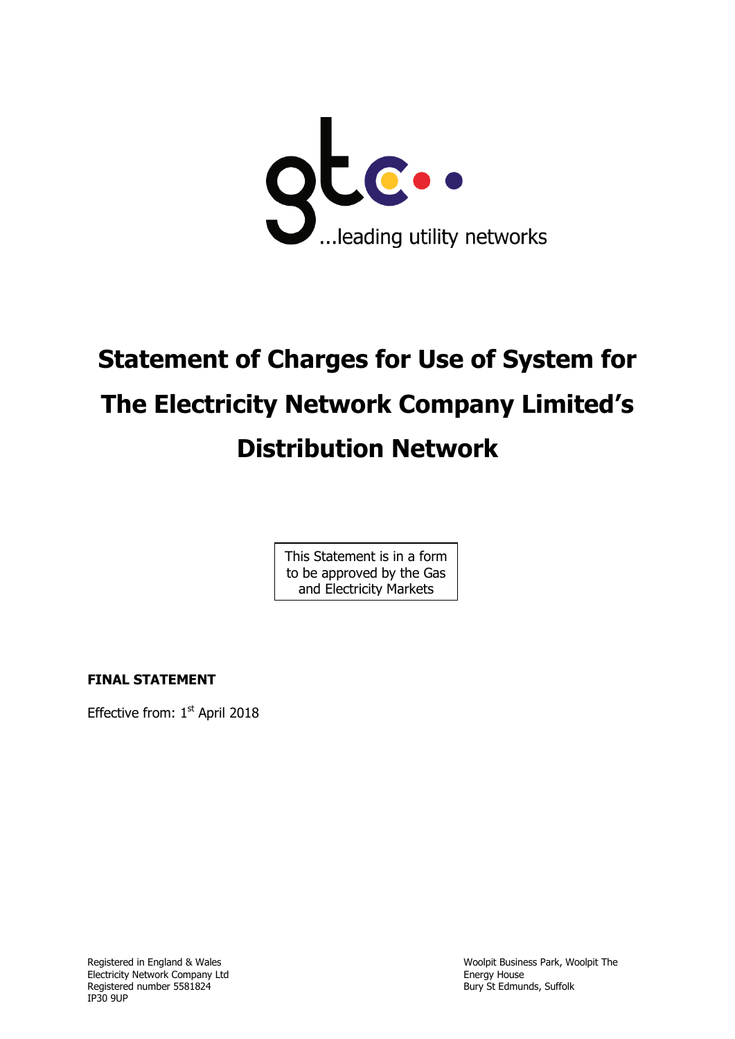

# **Statement of Charges for Use of System for The Electricity Network Company Limited's Distribution Network**

This Statement is in a form to be approved by the Gas and Electricity Markets

Authority

**FINAL STATEMENT**

Effective from: 1<sup>st</sup> April 2018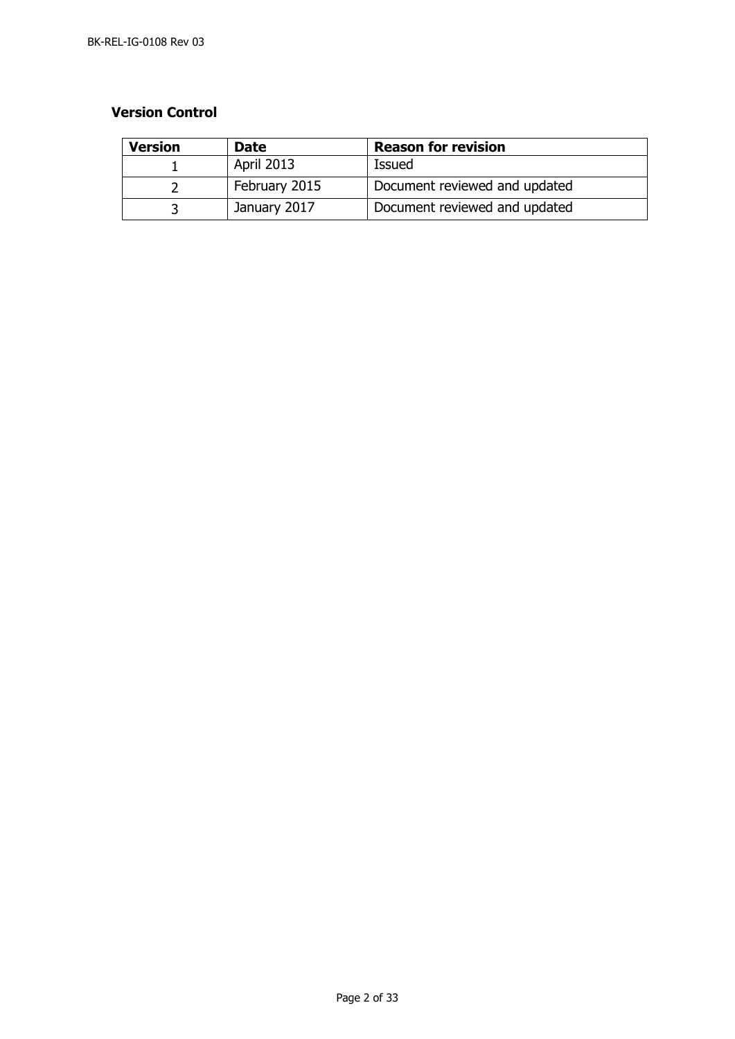## **Version Control**

| <b>Version</b> | <b>Date</b>       | <b>Reason for revision</b>    |
|----------------|-------------------|-------------------------------|
|                | <b>April 2013</b> | Issued                        |
|                | February 2015     | Document reviewed and updated |
|                | January 2017      | Document reviewed and updated |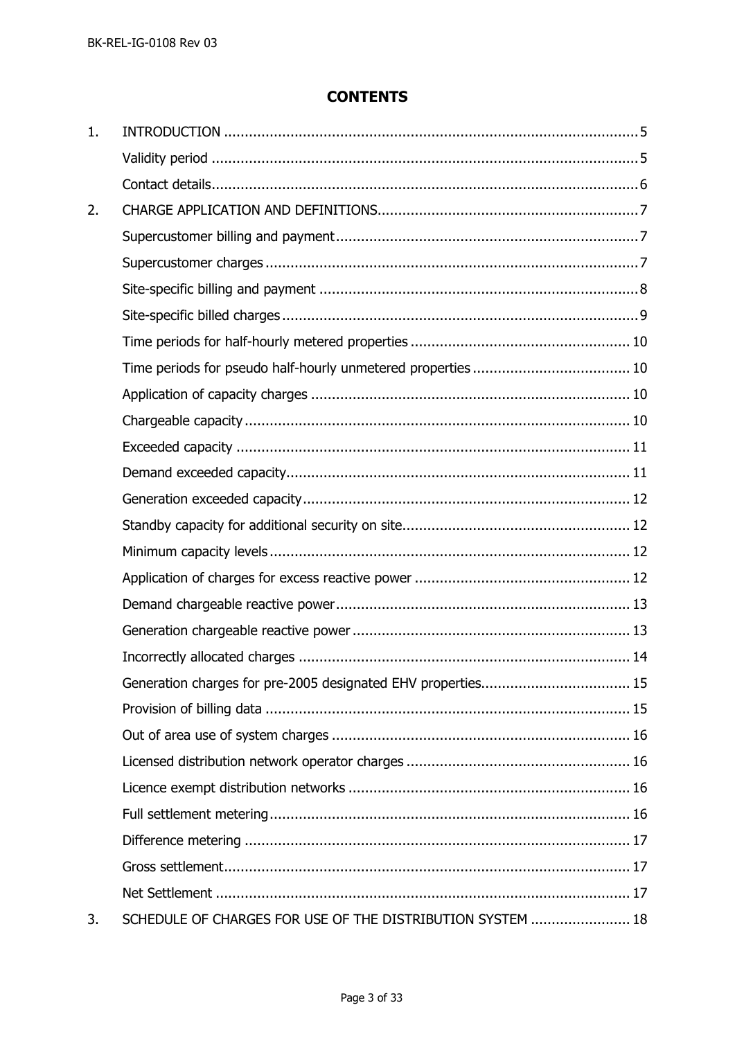# **CONTENTS**

| 1. |                                                            |  |
|----|------------------------------------------------------------|--|
|    |                                                            |  |
|    |                                                            |  |
| 2. |                                                            |  |
|    |                                                            |  |
|    |                                                            |  |
|    |                                                            |  |
|    |                                                            |  |
|    |                                                            |  |
|    |                                                            |  |
|    |                                                            |  |
|    |                                                            |  |
|    |                                                            |  |
|    |                                                            |  |
|    |                                                            |  |
|    |                                                            |  |
|    |                                                            |  |
|    |                                                            |  |
|    |                                                            |  |
|    |                                                            |  |
|    |                                                            |  |
|    |                                                            |  |
|    |                                                            |  |
|    |                                                            |  |
|    |                                                            |  |
|    |                                                            |  |
|    |                                                            |  |
|    |                                                            |  |
|    |                                                            |  |
|    |                                                            |  |
| 3. | SCHEDULE OF CHARGES FOR USE OF THE DISTRIBUTION SYSTEM  18 |  |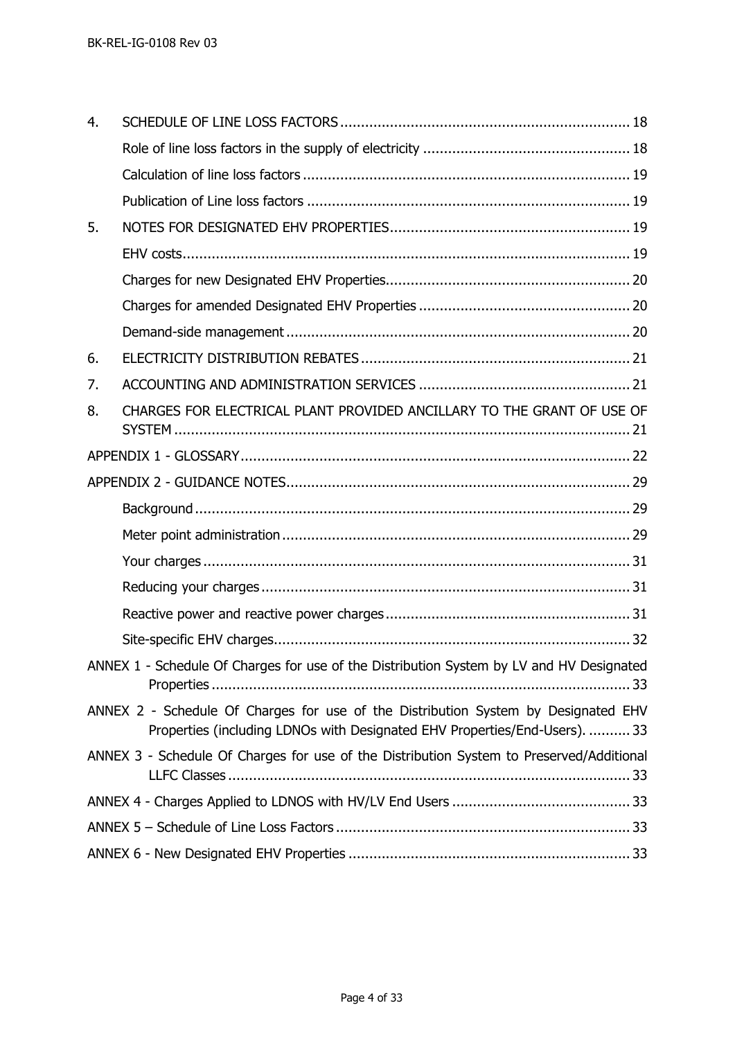| 4. |                                                                                                                                                                  |
|----|------------------------------------------------------------------------------------------------------------------------------------------------------------------|
|    |                                                                                                                                                                  |
|    |                                                                                                                                                                  |
|    |                                                                                                                                                                  |
| 5. |                                                                                                                                                                  |
|    |                                                                                                                                                                  |
|    |                                                                                                                                                                  |
|    |                                                                                                                                                                  |
|    |                                                                                                                                                                  |
| 6. |                                                                                                                                                                  |
| 7. |                                                                                                                                                                  |
| 8. | CHARGES FOR ELECTRICAL PLANT PROVIDED ANCILLARY TO THE GRANT OF USE OF                                                                                           |
|    |                                                                                                                                                                  |
|    |                                                                                                                                                                  |
|    |                                                                                                                                                                  |
|    |                                                                                                                                                                  |
|    |                                                                                                                                                                  |
|    |                                                                                                                                                                  |
|    |                                                                                                                                                                  |
|    |                                                                                                                                                                  |
|    | ANNEX 1 - Schedule Of Charges for use of the Distribution System by LV and HV Designated                                                                         |
|    | ANNEX 2 - Schedule Of Charges for use of the Distribution System by Designated EHV<br>Properties (including LDNOs with Designated EHV Properties/End-Users).  33 |
|    | ANNEX 3 - Schedule Of Charges for use of the Distribution System to Preserved/Additional                                                                         |
|    |                                                                                                                                                                  |
|    |                                                                                                                                                                  |
|    |                                                                                                                                                                  |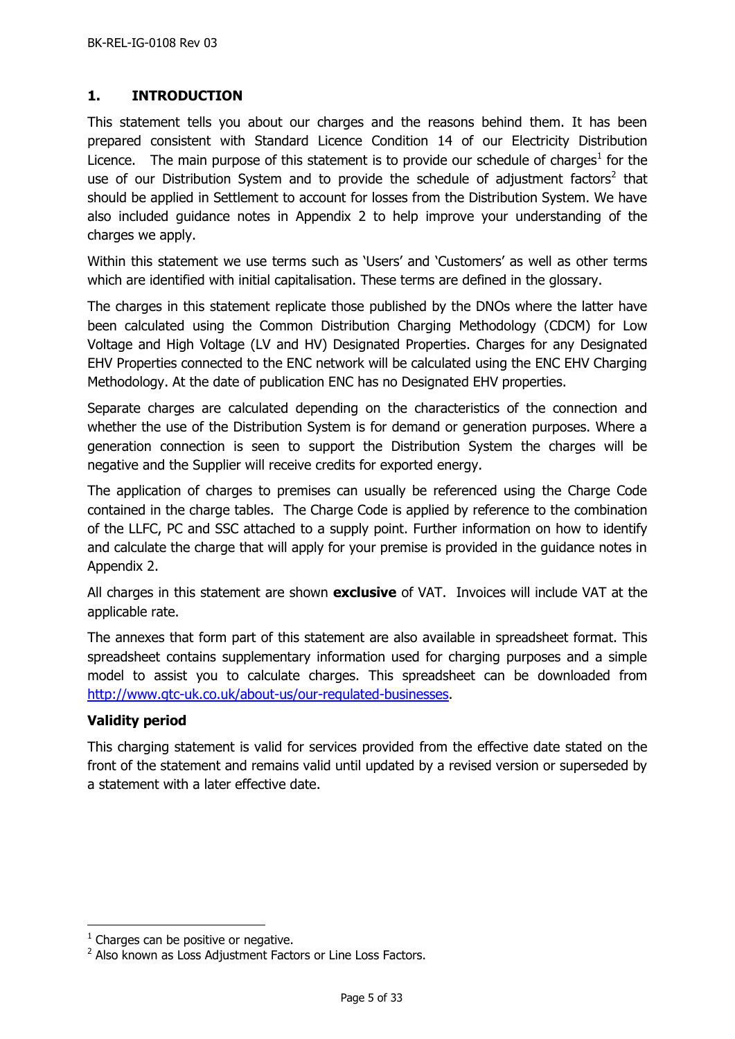# <span id="page-4-0"></span>**1. INTRODUCTION**

This statement tells you about our charges and the reasons behind them. It has been prepared consistent with Standard Licence Condition 14 of our Electricity Distribution Licence. The main purpose of this statement is to provide our schedule of charges<sup>1</sup> for the use of our Distribution System and to provide the schedule of adjustment factors<sup>2</sup> that should be applied in Settlement to account for losses from the Distribution System. We have also included guidance notes in Appendix 2 to help improve your understanding of the charges we apply.

Within this statement we use terms such as 'Users' and 'Customers' as well as other terms which are identified with initial capitalisation. These terms are defined in the glossary.

The charges in this statement replicate those published by the DNOs where the latter have been calculated using the Common Distribution Charging Methodology (CDCM) for Low Voltage and High Voltage (LV and HV) Designated Properties. Charges for any Designated EHV Properties connected to the ENC network will be calculated using the ENC EHV Charging Methodology. At the date of publication ENC has no Designated EHV properties.

Separate charges are calculated depending on the characteristics of the connection and whether the use of the Distribution System is for demand or generation purposes. Where a generation connection is seen to support the Distribution System the charges will be negative and the Supplier will receive credits for exported energy.

The application of charges to premises can usually be referenced using the Charge Code contained in the charge tables. The Charge Code is applied by reference to the combination of the LLFC, PC and SSC attached to a supply point. Further information on how to identify and calculate the charge that will apply for your premise is provided in the guidance notes in Appendix 2.

All charges in this statement are shown **exclusive** of VAT. Invoices will include VAT at the applicable rate.

The annexes that form part of this statement are also available in spreadsheet format. This spreadsheet contains supplementary information used for charging purposes and a simple model to assist you to calculate charges. This spreadsheet can be downloaded from [http://www.gtc-uk.co.uk/about-us/our-regulated-businesses.](http://www.gtc-uk.co.uk/about-us/our-regulated-businesses)

# <span id="page-4-1"></span>**Validity period**

 $\overline{a}$ 

This charging statement is valid for services provided from the effective date stated on the front of the statement and remains valid until updated by a revised version or superseded by a statement with a later effective date.

 $<sup>1</sup>$  Charges can be positive or negative.</sup>

<sup>&</sup>lt;sup>2</sup> Also known as Loss Adjustment Factors or Line Loss Factors.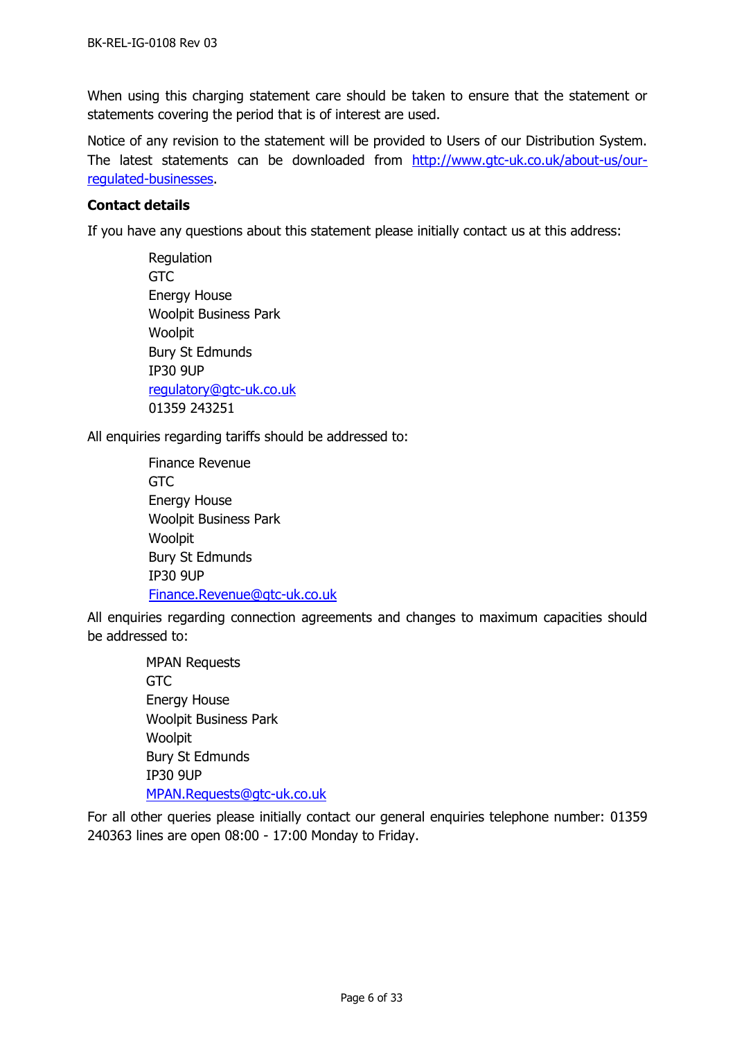When using this charging statement care should be taken to ensure that the statement or statements covering the period that is of interest are used.

Notice of any revision to the statement will be provided to Users of our Distribution System. The latest statements can be downloaded from [http://www.gtc-uk.co.uk/about-us/our](http://www.gtc-uk.co.uk/about-us/our-regulated-businesses)[regulated-businesses.](http://www.gtc-uk.co.uk/about-us/our-regulated-businesses)

## <span id="page-5-0"></span>**Contact details**

If you have any questions about this statement please initially contact us at this address:

Regulation **GTC** Energy House Woolpit Business Park Woolpit Bury St Edmunds IP30 9UP [regulatory@gtc-uk.co.uk](mailto:regulatory@gtc-uk.co.uk) 01359 243251

<span id="page-5-1"></span>All enquiries regarding tariffs should be addressed to:

Finance Revenue GTC Energy House Woolpit Business Park Woolpit Bury St Edmunds IP30 9UP [Finance.Revenue@gtc-uk.co.uk](mailto:Finance.Revenue@gtc-uk.co.uk)

All enquiries regarding connection agreements and changes to maximum capacities should be addressed to:

> MPAN Requests GTC Energy House Woolpit Business Park Woolpit Bury St Edmunds IP30 9UP [MPAN.Requests@gtc-uk.co.uk](file:///C:/Users/neil.brinkley/AppData/Local/Microsoft/Windows/INetCache/Content.Outlook/G1I01KIK/MPAN.Requests@gtc-uk.co.uk)

For all other queries please initially contact our general enquiries telephone number: 01359 240363 lines are open 08:00 - 17:00 Monday to Friday.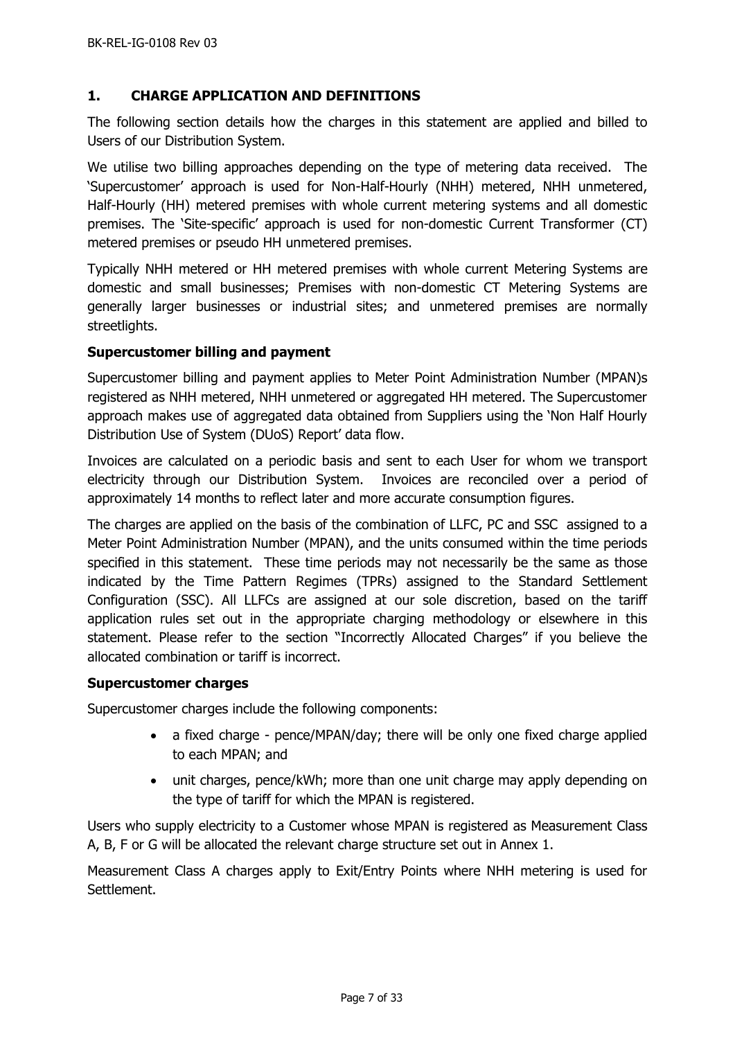## <span id="page-6-0"></span>**1. CHARGE APPLICATION AND DEFINITIONS**

The following section details how the charges in this statement are applied and billed to Users of our Distribution System.

We utilise two billing approaches depending on the type of metering data received. The 'Supercustomer' approach is used for Non-Half-Hourly (NHH) metered, NHH unmetered, Half-Hourly (HH) metered premises with whole current metering systems and all domestic premises. The 'Site-specific' approach is used for non-domestic Current Transformer (CT) metered premises or pseudo HH unmetered premises.

Typically NHH metered or HH metered premises with whole current Metering Systems are domestic and small businesses; Premises with non-domestic CT Metering Systems are generally larger businesses or industrial sites; and unmetered premises are normally streetlights.

## <span id="page-6-1"></span>**Supercustomer billing and payment**

Supercustomer billing and payment applies to Meter Point Administration Number (MPAN)s registered as NHH metered, NHH unmetered or aggregated HH metered. The Supercustomer approach makes use of aggregated data obtained from Suppliers using the 'Non Half Hourly Distribution Use of System (DUoS) Report' data flow.

Invoices are calculated on a periodic basis and sent to each User for whom we transport electricity through our Distribution System. Invoices are reconciled over a period of approximately 14 months to reflect later and more accurate consumption figures.

The charges are applied on the basis of the combination of LLFC, PC and SSC assigned to a Meter Point Administration Number (MPAN), and the units consumed within the time periods specified in this statement. These time periods may not necessarily be the same as those indicated by the Time Pattern Regimes (TPRs) assigned to the Standard Settlement Configuration (SSC). All LLFCs are assigned at our sole discretion, based on the tariff application rules set out in the appropriate charging methodology or elsewhere in this statement. Please refer to the section "Incorrectly Allocated Charges" if you believe the allocated combination or tariff is incorrect.

#### <span id="page-6-2"></span>**Supercustomer charges**

Supercustomer charges include the following components:

- a fixed charge pence/MPAN/day; there will be only one fixed charge applied to each MPAN; and
- unit charges, pence/kWh; more than one unit charge may apply depending on the type of tariff for which the MPAN is registered.

Users who supply electricity to a Customer whose MPAN is registered as Measurement Class A, B, F or G will be allocated the relevant charge structure set out in Annex 1.

Measurement Class A charges apply to Exit/Entry Points where NHH metering is used for Settlement.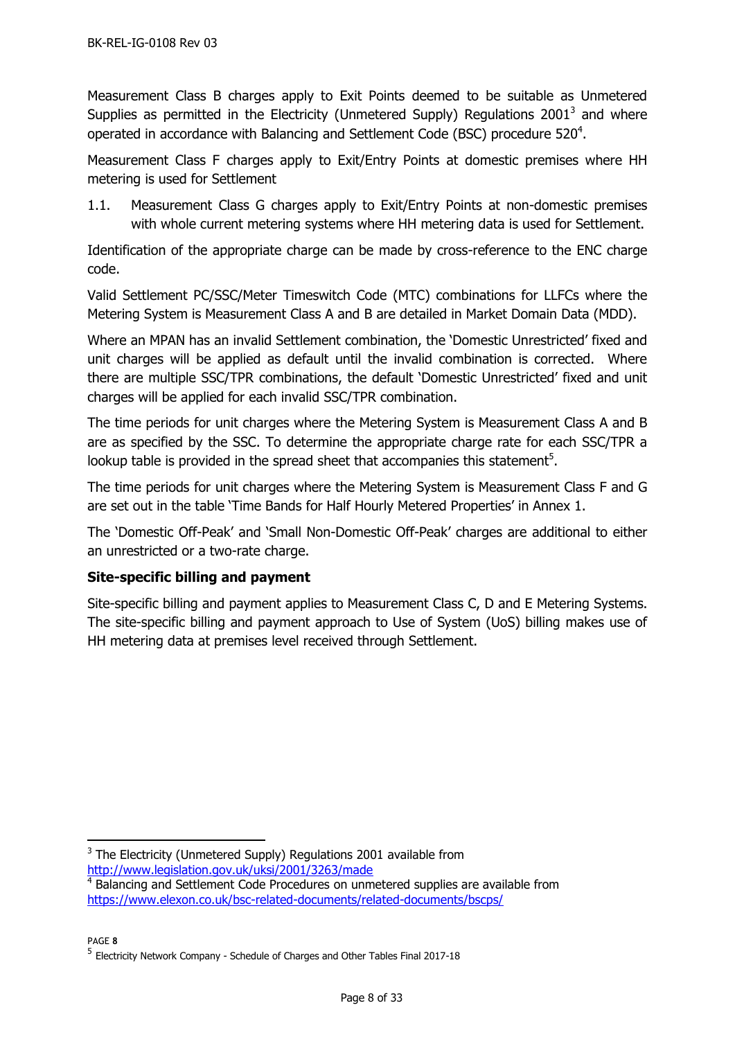Measurement Class B charges apply to Exit Points deemed to be suitable as Unmetered Supplies as permitted in the Electricity (Unmetered Supply) Regulations 2001<sup>3</sup> and where operated in accordance with Balancing and Settlement Code (BSC) procedure 520<sup>4</sup>.

Measurement Class F charges apply to Exit/Entry Points at domestic premises where HH metering is used for Settlement

1.1. Measurement Class G charges apply to Exit/Entry Points at non-domestic premises with whole current metering systems where HH metering data is used for Settlement.

Identification of the appropriate charge can be made by cross-reference to the ENC charge code.

Valid Settlement PC/SSC/Meter Timeswitch Code (MTC) combinations for LLFCs where the Metering System is Measurement Class A and B are detailed in Market Domain Data (MDD).

Where an MPAN has an invalid Settlement combination, the 'Domestic Unrestricted' fixed and unit charges will be applied as default until the invalid combination is corrected. Where there are multiple SSC/TPR combinations, the default 'Domestic Unrestricted' fixed and unit charges will be applied for each invalid SSC/TPR combination.

The time periods for unit charges where the Metering System is Measurement Class A and B are as specified by the SSC. To determine the appropriate charge rate for each SSC/TPR a lookup table is provided in the spread sheet that accompanies this statement<sup>5</sup>.

The time periods for unit charges where the Metering System is Measurement Class F and G are set out in the table 'Time Bands for Half Hourly Metered Properties' in Annex 1.

The 'Domestic Off-Peak' and 'Small Non-Domestic Off-Peak' charges are additional to either an unrestricted or a two-rate charge.

# <span id="page-7-0"></span>**Site-specific billing and payment**

Site-specific billing and payment applies to Measurement Class C, D and E Metering Systems. The site-specific billing and payment approach to Use of System (UoS) billing makes use of HH metering data at premises level received through Settlement.

PAGE **8**

<sup>-</sup> $3$  The Electricity (Unmetered Supply) Regulations 2001 available from <http://www.legislation.gov.uk/uksi/2001/3263/made>

<sup>&</sup>lt;sup>4</sup> Balancing and Settlement Code Procedures on unmetered supplies are available from <https://www.elexon.co.uk/bsc-related-documents/related-documents/bscps/>

<sup>&</sup>lt;sup>5</sup> Electricity Network Company - Schedule of Charges and Other Tables Final 2017-18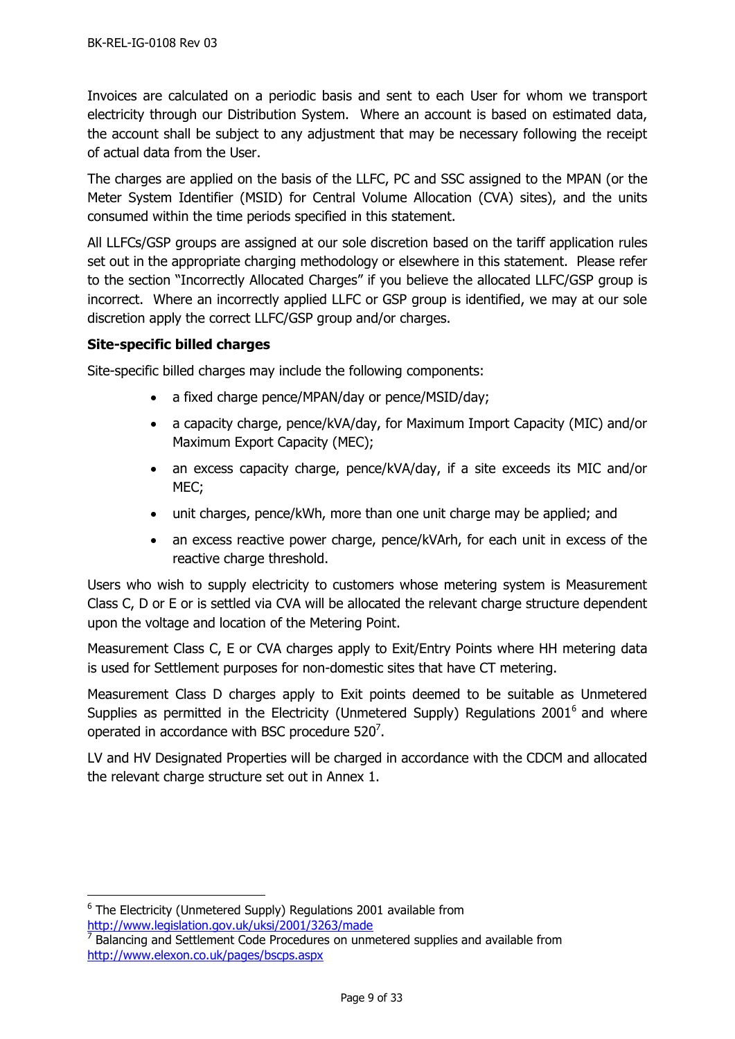Invoices are calculated on a periodic basis and sent to each User for whom we transport electricity through our Distribution System. Where an account is based on estimated data, the account shall be subject to any adjustment that may be necessary following the receipt of actual data from the User.

The charges are applied on the basis of the LLFC, PC and SSC assigned to the MPAN (or the Meter System Identifier (MSID) for Central Volume Allocation (CVA) sites), and the units consumed within the time periods specified in this statement.

All LLFCs/GSP groups are assigned at our sole discretion based on the tariff application rules set out in the appropriate charging methodology or elsewhere in this statement. Please refer to the section "Incorrectly Allocated Charges" if you believe the allocated LLFC/GSP group is incorrect. Where an incorrectly applied LLFC or GSP group is identified, we may at our sole discretion apply the correct LLFC/GSP group and/or charges.

## <span id="page-8-0"></span>**Site-specific billed charges**

Site-specific billed charges may include the following components:

- a fixed charge pence/MPAN/day or pence/MSID/day;
- a capacity charge, pence/kVA/day, for Maximum Import Capacity (MIC) and/or Maximum Export Capacity (MEC);
- an excess capacity charge, pence/kVA/day, if a site exceeds its MIC and/or MEC;
- unit charges, pence/kWh, more than one unit charge may be applied; and
- an excess reactive power charge, pence/kVArh, for each unit in excess of the reactive charge threshold.

Users who wish to supply electricity to customers whose metering system is Measurement Class C, D or E or is settled via CVA will be allocated the relevant charge structure dependent upon the voltage and location of the Metering Point.

Measurement Class C, E or CVA charges apply to Exit/Entry Points where HH metering data is used for Settlement purposes for non-domestic sites that have CT metering.

Measurement Class D charges apply to Exit points deemed to be suitable as Unmetered Supplies as permitted in the Electricity (Unmetered Supply) Regulations 2001<sup>6</sup> and where operated in accordance with BSC procedure 520<sup>7</sup>.

LV and HV Designated Properties will be charged in accordance with the CDCM and allocated the relevant charge structure set out in Annex 1.

 $\overline{a}$ 

 $6$  The Electricity (Unmetered Supply) Regulations 2001 available from <http://www.legislation.gov.uk/uksi/2001/3263/made>

 $7$  Balancing and Settlement Code Procedures on unmetered supplies and available from <http://www.elexon.co.uk/pages/bscps.aspx>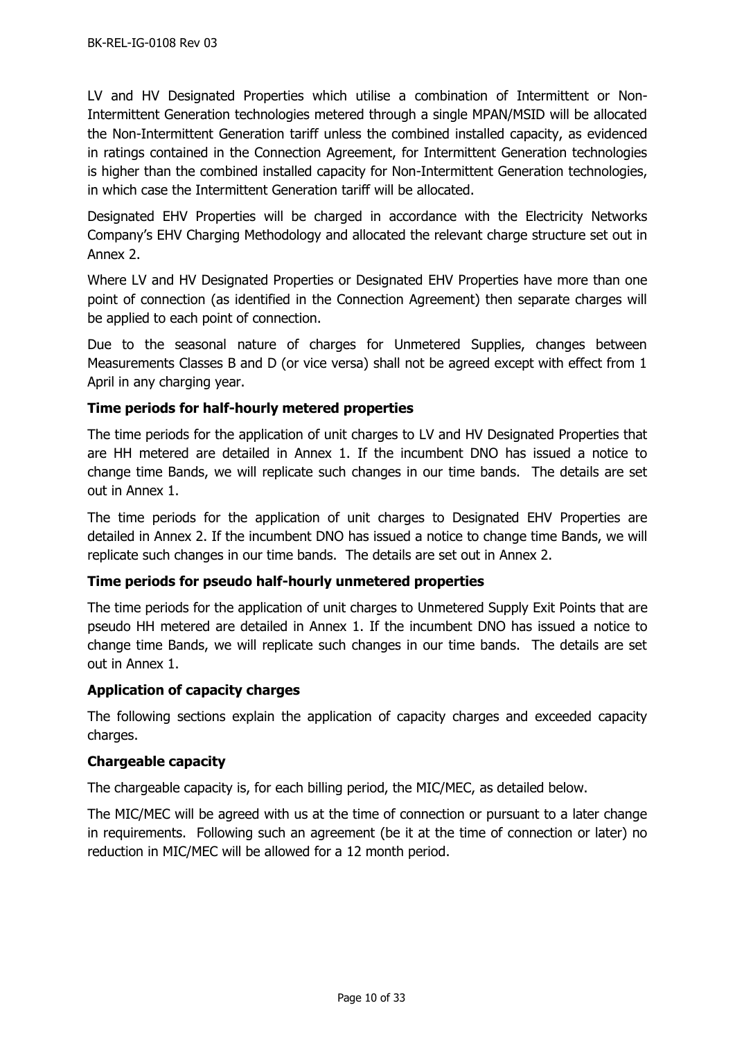LV and HV Designated Properties which utilise a combination of Intermittent or Non-Intermittent Generation technologies metered through a single MPAN/MSID will be allocated the Non-Intermittent Generation tariff unless the combined installed capacity, as evidenced in ratings contained in the Connection Agreement, for Intermittent Generation technologies is higher than the combined installed capacity for Non-Intermittent Generation technologies, in which case the Intermittent Generation tariff will be allocated.

Designated EHV Properties will be charged in accordance with the Electricity Networks Company's EHV Charging Methodology and allocated the relevant charge structure set out in Annex 2.

Where LV and HV Designated Properties or Designated EHV Properties have more than one point of connection (as identified in the Connection Agreement) then separate charges will be applied to each point of connection.

Due to the seasonal nature of charges for Unmetered Supplies, changes between Measurements Classes B and D (or vice versa) shall not be agreed except with effect from 1 April in any charging year.

# <span id="page-9-0"></span>**Time periods for half-hourly metered properties**

The time periods for the application of unit charges to LV and HV Designated Properties that are HH metered are detailed in Annex 1. If the incumbent DNO has issued a notice to change time Bands, we will replicate such changes in our time bands. The details are set out in Annex 1.

The time periods for the application of unit charges to Designated EHV Properties are detailed in Annex 2. If the incumbent DNO has issued a notice to change time Bands, we will replicate such changes in our time bands. The details are set out in Annex 2.

# <span id="page-9-1"></span>**Time periods for pseudo half-hourly unmetered properties**

The time periods for the application of unit charges to Unmetered Supply Exit Points that are pseudo HH metered are detailed in Annex 1. If the incumbent DNO has issued a notice to change time Bands, we will replicate such changes in our time bands. The details are set out in Annex 1.

# <span id="page-9-2"></span>**Application of capacity charges**

The following sections explain the application of capacity charges and exceeded capacity charges.

#### <span id="page-9-3"></span>**Chargeable capacity**

The chargeable capacity is, for each billing period, the MIC/MEC, as detailed below.

The MIC/MEC will be agreed with us at the time of connection or pursuant to a later change in requirements. Following such an agreement (be it at the time of connection or later) no reduction in MIC/MEC will be allowed for a 12 month period.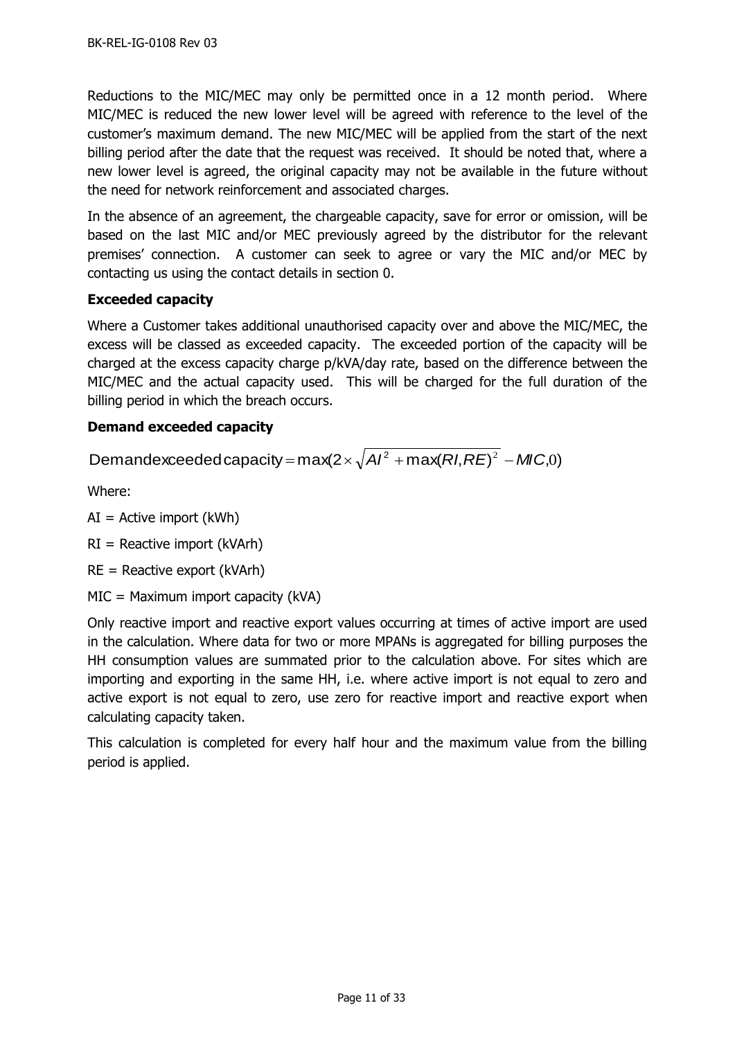Reductions to the MIC/MEC may only be permitted once in a 12 month period. Where MIC/MEC is reduced the new lower level will be agreed with reference to the level of the customer's maximum demand. The new MIC/MEC will be applied from the start of the next billing period after the date that the request was received. It should be noted that, where a new lower level is agreed, the original capacity may not be available in the future without the need for network reinforcement and associated charges.

In the absence of an agreement, the chargeable capacity, save for error or omission, will be based on the last MIC and/or MEC previously agreed by the distributor for the relevant premises' connection. A customer can seek to agree or vary the MIC and/or MEC by contacting us using the contact details in section [0.](#page-4-0)

# <span id="page-10-0"></span>**Exceeded capacity**

Where a Customer takes additional unauthorised capacity over and above the MIC/MEC, the excess will be classed as exceeded capacity. The exceeded portion of the capacity will be charged at the excess capacity charge p/kVA/day rate, based on the difference between the MIC/MEC and the actual capacity used. This will be charged for the full duration of the billing period in which the breach occurs.

# <span id="page-10-1"></span>**Demand exceeded capacity**

Demandexceeded capacity = max(2  $\times \sqrt{A}I^2$  + max(*RI*, *RE*)<sup>2</sup> – *MIC*,0)

Where:

 $AI =$  Active import (kWh)

 $RI =$  Reactive import (kVArh)

RE = Reactive export (kVArh)

MIC = Maximum import capacity (kVA)

Only reactive import and reactive export values occurring at times of active import are used in the calculation. Where data for two or more MPANs is aggregated for billing purposes the HH consumption values are summated prior to the calculation above. For sites which are importing and exporting in the same HH, i.e. where active import is not equal to zero and active export is not equal to zero, use zero for reactive import and reactive export when calculating capacity taken.

<span id="page-10-2"></span>This calculation is completed for every half hour and the maximum value from the billing period is applied.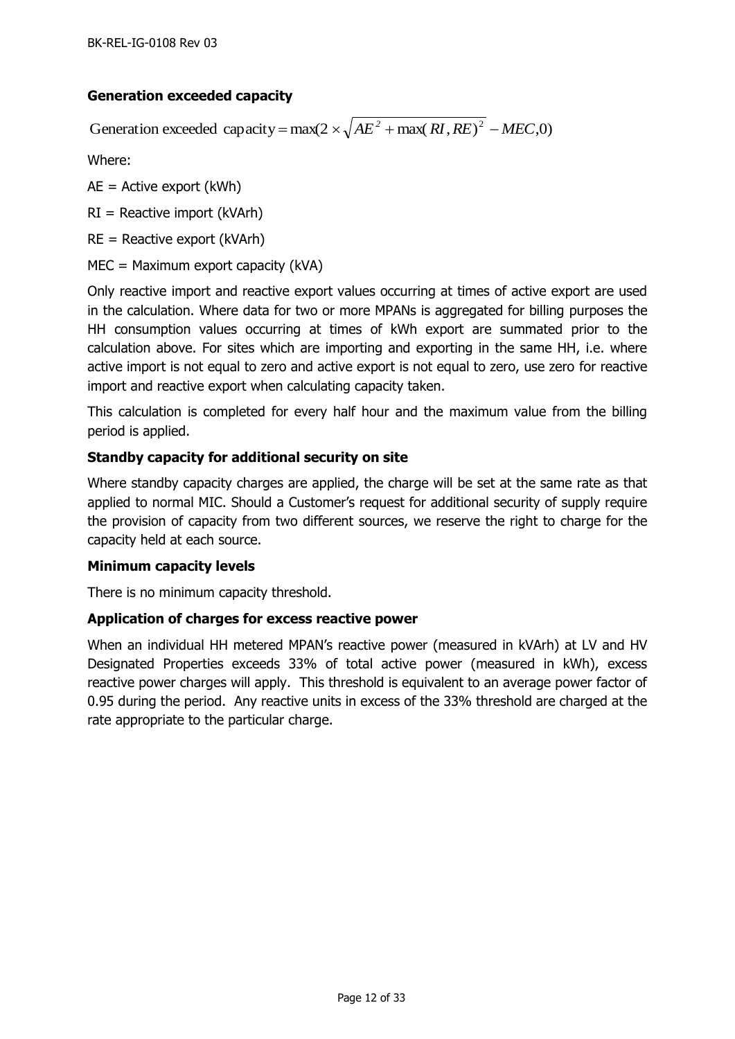# **Generation exceeded capacity**

Generation exceeded capacity =  $max(2 \times \sqrt{AE^2 + max(RI, RE)^2 - MEC, 0})$ 

Where:

 $AE =$  Active export (kWh)

 $RI =$  Reactive import (kVArh)

 $RE =$  Reactive export (kVArh)

MEC = Maximum export capacity (kVA)

Only reactive import and reactive export values occurring at times of active export are used in the calculation. Where data for two or more MPANs is aggregated for billing purposes the HH consumption values occurring at times of kWh export are summated prior to the calculation above. For sites which are importing and exporting in the same HH, i.e. where active import is not equal to zero and active export is not equal to zero, use zero for reactive import and reactive export when calculating capacity taken.

This calculation is completed for every half hour and the maximum value from the billing period is applied.

## <span id="page-11-0"></span>**Standby capacity for additional security on site**

Where standby capacity charges are applied, the charge will be set at the same rate as that applied to normal MIC. Should a Customer's request for additional security of supply require the provision of capacity from two different sources, we reserve the right to charge for the capacity held at each source.

#### <span id="page-11-1"></span>**Minimum capacity levels**

There is no minimum capacity threshold.

#### <span id="page-11-2"></span>**Application of charges for excess reactive power**

When an individual HH metered MPAN's reactive power (measured in kVArh) at LV and HV Designated Properties exceeds 33% of total active power (measured in kWh), excess reactive power charges will apply. This threshold is equivalent to an average power factor of 0.95 during the period. Any reactive units in excess of the 33% threshold are charged at the rate appropriate to the particular charge.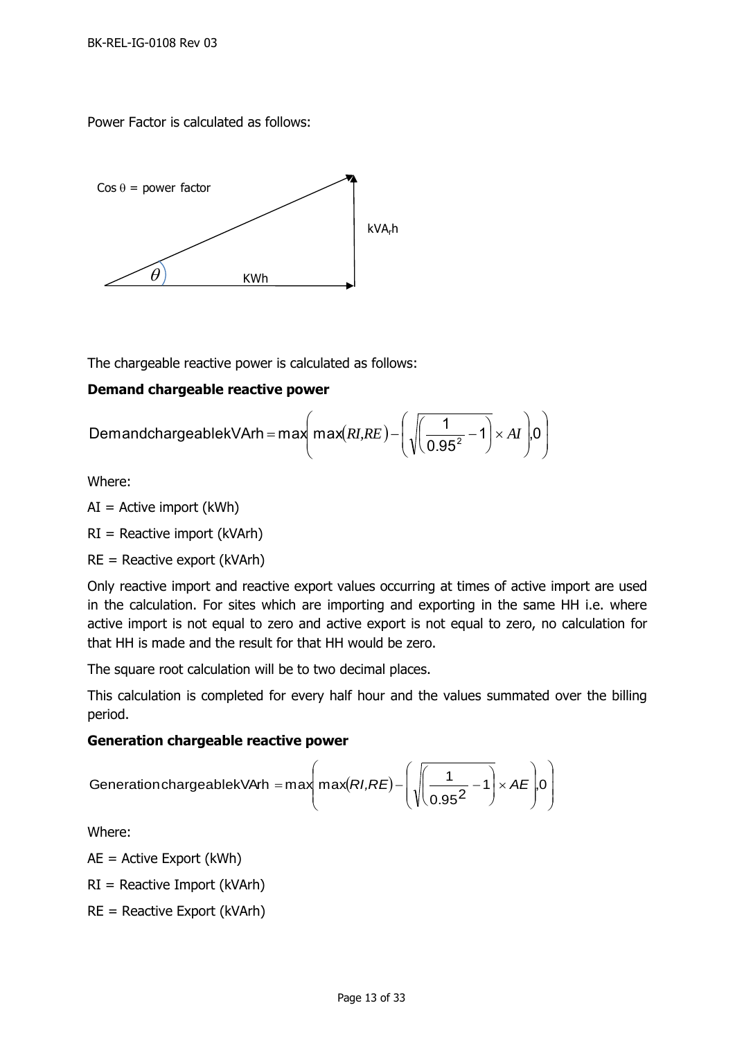Power Factor is calculated as follows:



The chargeable reactive power is calculated as follows:

# <span id="page-12-0"></span>**Demand chargeable reactive power**

$$
DemandchargeablekVArh = max\left(max(RI,RE) - \left(\sqrt{\left(\frac{1}{0.95^2} - 1\right)} \times AI\right) .0\right)
$$

Where:

 $AI =$  Active import (kWh)

 $RI =$  Reactive import (kVArh)

 $RE =$  Reactive export (kVArh)

Only reactive import and reactive export values occurring at times of active import are used in the calculation. For sites which are importing and exporting in the same HH i.e. where active import is not equal to zero and active export is not equal to zero, no calculation for that HH is made and the result for that HH would be zero.

The square root calculation will be to two decimal places.

This calculation is completed for every half hour and the values summated over the billing period.

#### <span id="page-12-1"></span>**Generation chargeable reactive power**

$$
Generation chargeablekVArh = max(max(RI,RE) - \left(\sqrt{\frac{1}{0.95^2} - 1}\right) \times AE\bigg|,0\bigg)
$$

Where:

AE = Active Export (kWh)

 $RI =$  Reactive Import (kVArh)

RE = Reactive Export (kVArh)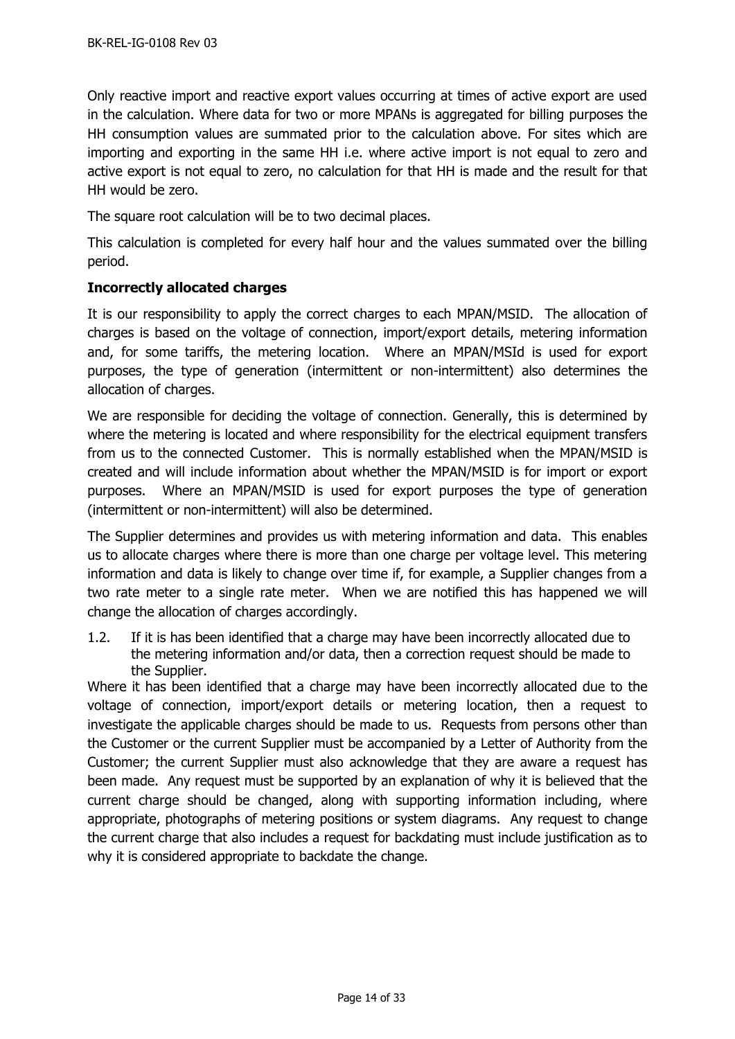Only reactive import and reactive export values occurring at times of active export are used in the calculation. Where data for two or more MPANs is aggregated for billing purposes the HH consumption values are summated prior to the calculation above. For sites which are importing and exporting in the same HH i.e. where active import is not equal to zero and active export is not equal to zero, no calculation for that HH is made and the result for that HH would be zero.

The square root calculation will be to two decimal places.

This calculation is completed for every half hour and the values summated over the billing period.

## <span id="page-13-0"></span>**Incorrectly allocated charges**

It is our responsibility to apply the correct charges to each MPAN/MSID. The allocation of charges is based on the voltage of connection, import/export details, metering information and, for some tariffs, the metering location. Where an MPAN/MSId is used for export purposes, the type of generation (intermittent or non-intermittent) also determines the allocation of charges.

We are responsible for deciding the voltage of connection. Generally, this is determined by where the metering is located and where responsibility for the electrical equipment transfers from us to the connected Customer. This is normally established when the MPAN/MSID is created and will include information about whether the MPAN/MSID is for import or export purposes. Where an MPAN/MSID is used for export purposes the type of generation (intermittent or non-intermittent) will also be determined.

The Supplier determines and provides us with metering information and data. This enables us to allocate charges where there is more than one charge per voltage level. This metering information and data is likely to change over time if, for example, a Supplier changes from a two rate meter to a single rate meter. When we are notified this has happened we will change the allocation of charges accordingly.

1.2. If it is has been identified that a charge may have been incorrectly allocated due to the metering information and/or data, then a correction request should be made to the Supplier.

Where it has been identified that a charge may have been incorrectly allocated due to the voltage of connection, import/export details or metering location, then a request to investigate the applicable charges should be made to us. Requests from persons other than the Customer or the current Supplier must be accompanied by a Letter of Authority from the Customer; the current Supplier must also acknowledge that they are aware a request has been made. Any request must be supported by an explanation of why it is believed that the current charge should be changed, along with supporting information including, where appropriate, photographs of metering positions or system diagrams. Any request to change the current charge that also includes a request for backdating must include justification as to why it is considered appropriate to backdate the change.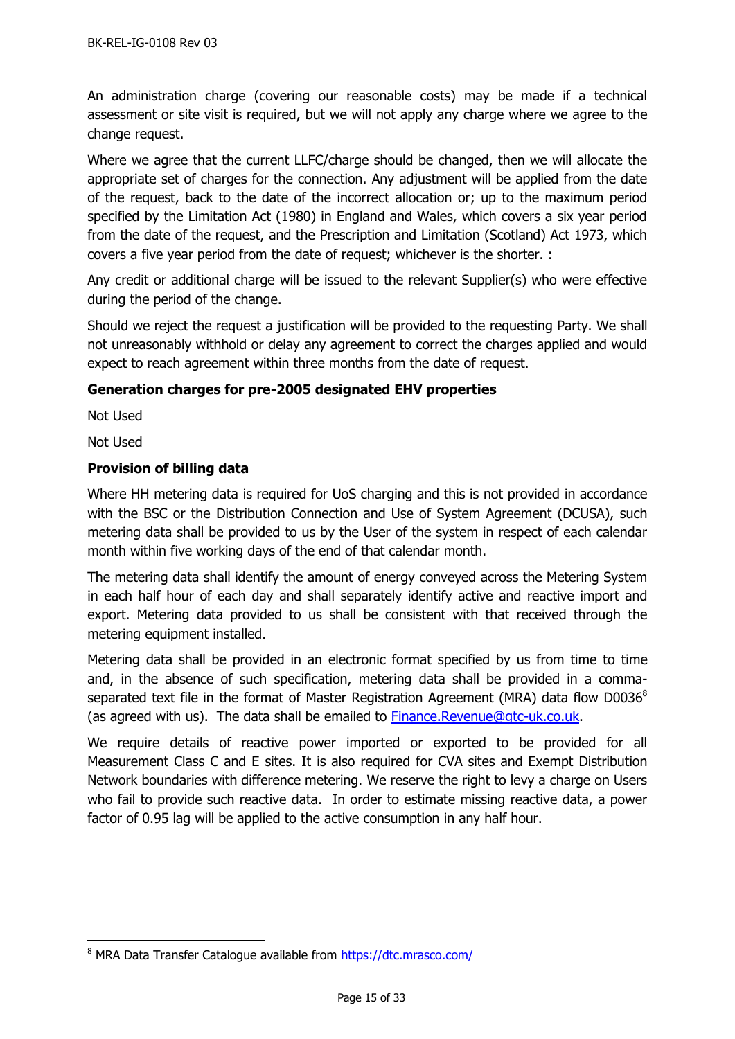An administration charge (covering our reasonable costs) may be made if a technical assessment or site visit is required, but we will not apply any charge where we agree to the change request.

Where we agree that the current LLFC/charge should be changed, then we will allocate the appropriate set of charges for the connection. Any adjustment will be applied from the date of the request, back to the date of the incorrect allocation or; up to the maximum period specified by the Limitation Act (1980) in England and Wales, which covers a six year period from the date of the request, and the Prescription and Limitation (Scotland) Act 1973, which covers a five year period from the date of request; whichever is the shorter. :

Any credit or additional charge will be issued to the relevant Supplier(s) who were effective during the period of the change.

Should we reject the request a justification will be provided to the requesting Party. We shall not unreasonably withhold or delay any agreement to correct the charges applied and would expect to reach agreement within three months from the date of request.

## <span id="page-14-0"></span>**Generation charges for pre-2005 designated EHV properties**

Not Used

Not Used

-

## <span id="page-14-1"></span>**Provision of billing data**

Where HH metering data is required for UoS charging and this is not provided in accordance with the BSC or the Distribution Connection and Use of System Agreement (DCUSA), such metering data shall be provided to us by the User of the system in respect of each calendar month within five working days of the end of that calendar month.

The metering data shall identify the amount of energy conveyed across the Metering System in each half hour of each day and shall separately identify active and reactive import and export. Metering data provided to us shall be consistent with that received through the metering equipment installed.

Metering data shall be provided in an electronic format specified by us from time to time and, in the absence of such specification, metering data shall be provided in a commaseparated text file in the format of Master Registration Agreement (MRA) data flow  $D0036^8$ (as agreed with us). The data shall be emailed to [Finance.Revenue@gtc-uk.co.uk.](mailto:Finance.Revenue@gtc-uk.co.uk)

We require details of reactive power imported or exported to be provided for all Measurement Class C and E sites. It is also required for CVA sites and Exempt Distribution Network boundaries with difference metering. We reserve the right to levy a charge on Users who fail to provide such reactive data. In order to estimate missing reactive data, a power factor of 0.95 lag will be applied to the active consumption in any half hour.

<sup>&</sup>lt;sup>8</sup> MRA Data Transfer Catalogue available from<https://dtc.mrasco.com/>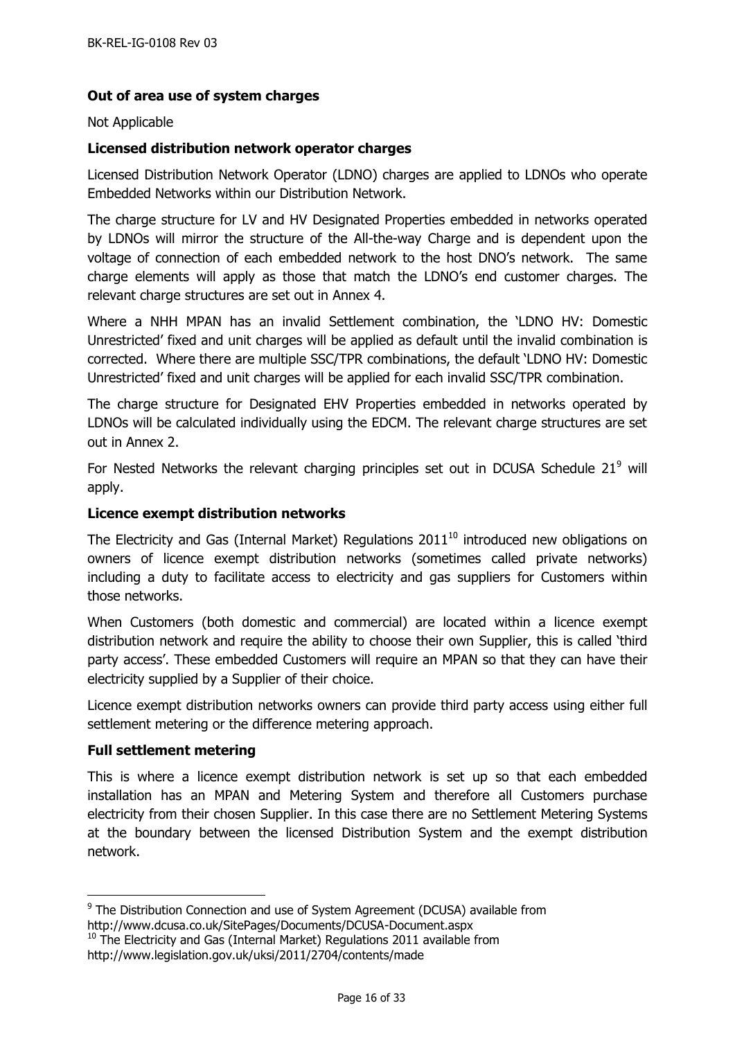## <span id="page-15-0"></span>**Out of area use of system charges**

#### Not Applicable

#### <span id="page-15-1"></span>**Licensed distribution network operator charges**

Licensed Distribution Network Operator (LDNO) charges are applied to LDNOs who operate Embedded Networks within our Distribution Network.

The charge structure for LV and HV Designated Properties embedded in networks operated by LDNOs will mirror the structure of the All-the-way Charge and is dependent upon the voltage of connection of each embedded network to the host DNO's network. The same charge elements will apply as those that match the LDNO's end customer charges. The relevant charge structures are set out in Annex 4.

Where a NHH MPAN has an invalid Settlement combination, the 'LDNO HV: Domestic Unrestricted' fixed and unit charges will be applied as default until the invalid combination is corrected. Where there are multiple SSC/TPR combinations, the default 'LDNO HV: Domestic Unrestricted' fixed and unit charges will be applied for each invalid SSC/TPR combination.

The charge structure for Designated EHV Properties embedded in networks operated by LDNOs will be calculated individually using the EDCM. The relevant charge structures are set out in Annex 2.

For Nested Networks the relevant charging principles set out in DCUSA Schedule  $21<sup>9</sup>$  will apply.

#### <span id="page-15-2"></span>**Licence exempt distribution networks**

The Electricity and Gas (Internal Market) Regulations  $2011^{10}$  introduced new obligations on owners of licence exempt distribution networks (sometimes called private networks) including a duty to facilitate access to electricity and gas suppliers for Customers within those networks.

When Customers (both domestic and commercial) are located within a licence exempt distribution network and require the ability to choose their own Supplier, this is called 'third party access'. These embedded Customers will require an MPAN so that they can have their electricity supplied by a Supplier of their choice.

Licence exempt distribution networks owners can provide third party access using either full settlement metering or the difference metering approach.

#### <span id="page-15-3"></span>**Full settlement metering**

 $\overline{a}$ 

This is where a licence exempt distribution network is set up so that each embedded installation has an MPAN and Metering System and therefore all Customers purchase electricity from their chosen Supplier. In this case there are no Settlement Metering Systems at the boundary between the licensed Distribution System and the exempt distribution network.

<sup>&</sup>lt;sup>9</sup> The Distribution Connection and use of System Agreement (DCUSA) available from http://www.dcusa.co.uk/SitePages/Documents/DCUSA-Document.aspx

 $10$  The Electricity and Gas (Internal Market) Regulations 2011 available from http://www.legislation.gov.uk/uksi/2011/2704/contents/made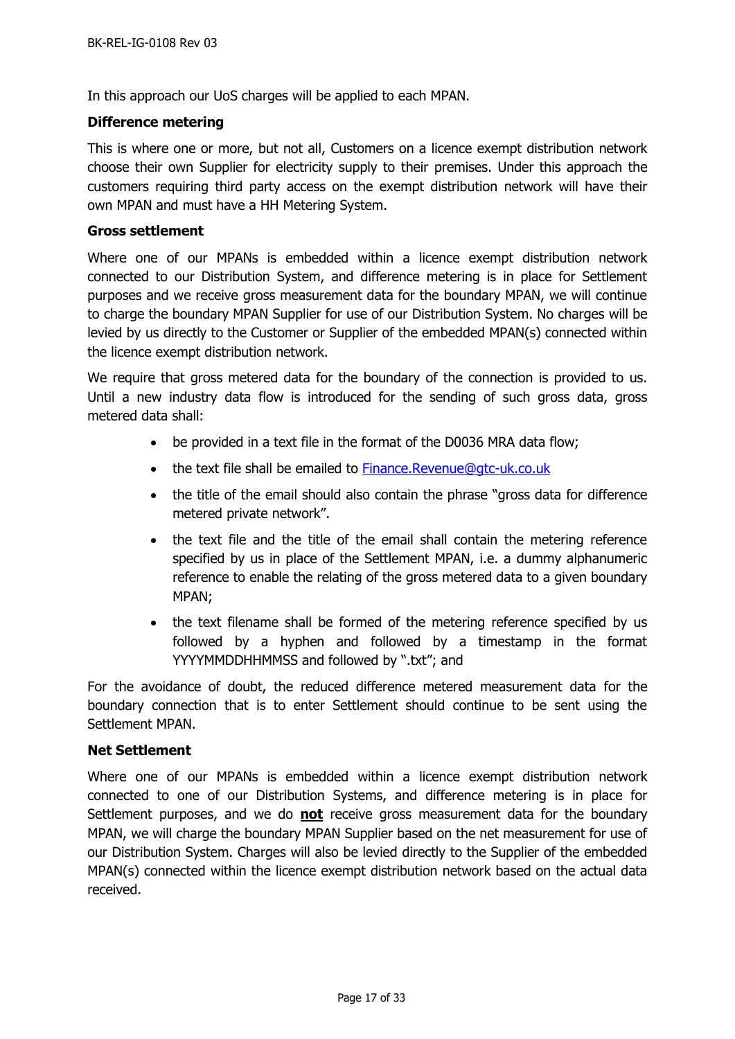In this approach our UoS charges will be applied to each MPAN.

#### <span id="page-16-0"></span>**Difference metering**

This is where one or more, but not all, Customers on a licence exempt distribution network choose their own Supplier for electricity supply to their premises. Under this approach the customers requiring third party access on the exempt distribution network will have their own MPAN and must have a HH Metering System.

#### <span id="page-16-1"></span>**Gross settlement**

Where one of our MPANs is embedded within a licence exempt distribution network connected to our Distribution System, and difference metering is in place for Settlement purposes and we receive gross measurement data for the boundary MPAN, we will continue to charge the boundary MPAN Supplier for use of our Distribution System. No charges will be levied by us directly to the Customer or Supplier of the embedded MPAN(s) connected within the licence exempt distribution network.

We require that gross metered data for the boundary of the connection is provided to us. Until a new industry data flow is introduced for the sending of such gross data, gross metered data shall:

- be provided in a text file in the format of the D0036 MRA data flow;
- the text file shall be emailed to [Finance.Revenue@gtc-uk.co.uk](mailto:Finance.Revenue@gtc-uk.co.uk)
- the title of the email should also contain the phrase "gross data for difference metered private network".
- the text file and the title of the email shall contain the metering reference specified by us in place of the Settlement MPAN, i.e. a dummy alphanumeric reference to enable the relating of the gross metered data to a given boundary MPAN;
- the text filename shall be formed of the metering reference specified by us followed by a hyphen and followed by a timestamp in the format YYYYMMDDHHMMSS and followed by ".txt"; and

For the avoidance of doubt, the reduced difference metered measurement data for the boundary connection that is to enter Settlement should continue to be sent using the Settlement MPAN.

#### <span id="page-16-2"></span>**Net Settlement**

Where one of our MPANs is embedded within a licence exempt distribution network connected to one of our Distribution Systems, and difference metering is in place for Settlement purposes, and we do **not** receive gross measurement data for the boundary MPAN, we will charge the boundary MPAN Supplier based on the net measurement for use of our Distribution System. Charges will also be levied directly to the Supplier of the embedded MPAN(s) connected within the licence exempt distribution network based on the actual data received.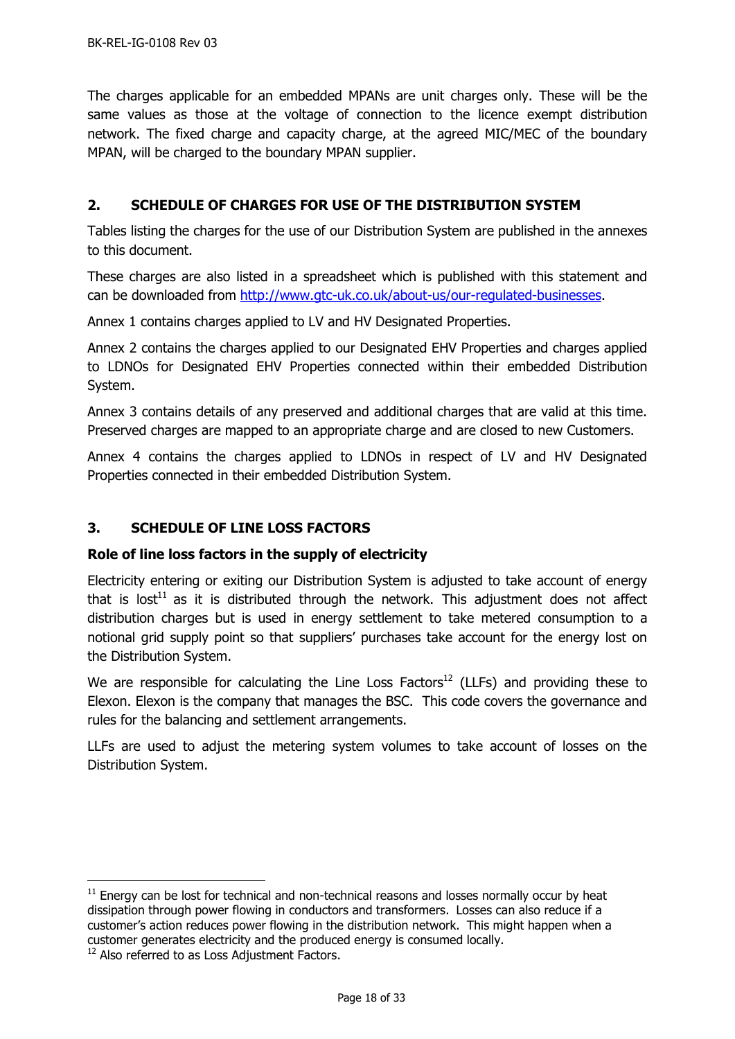The charges applicable for an embedded MPANs are unit charges only. These will be the same values as those at the voltage of connection to the licence exempt distribution network. The fixed charge and capacity charge, at the agreed MIC/MEC of the boundary MPAN, will be charged to the boundary MPAN supplier.

## <span id="page-17-0"></span>**2. SCHEDULE OF CHARGES FOR USE OF THE DISTRIBUTION SYSTEM**

Tables listing the charges for the use of our Distribution System are published in the annexes to this document.

These charges are also listed in a spreadsheet which is published with this statement and can be downloaded from [http://www.gtc-uk.co.uk/about-us/our-regulated-businesses.](http://www.gtc-uk.co.uk/about-us/our-regulated-businesses)

Annex 1 contains charges applied to LV and HV Designated Properties.

Annex 2 contains the charges applied to our Designated EHV Properties and charges applied to LDNOs for Designated EHV Properties connected within their embedded Distribution System.

Annex 3 contains details of any preserved and additional charges that are valid at this time. Preserved charges are mapped to an appropriate charge and are closed to new Customers.

Annex 4 contains the charges applied to LDNOs in respect of LV and HV Designated Properties connected in their embedded Distribution System.

# <span id="page-17-1"></span>**3. SCHEDULE OF LINE LOSS FACTORS**

# <span id="page-17-2"></span>**Role of line loss factors in the supply of electricity**

Electricity entering or exiting our Distribution System is adjusted to take account of energy that is lost<sup>11</sup> as it is distributed through the network. This adjustment does not affect distribution charges but is used in energy settlement to take metered consumption to a notional grid supply point so that suppliers' purchases take account for the energy lost on the Distribution System.

We are responsible for calculating the Line Loss Factors<sup>12</sup> (LLFs) and providing these to Elexon. Elexon is the company that manages the BSC. This code covers the governance and rules for the balancing and settlement arrangements.

LLFs are used to adjust the metering system volumes to take account of losses on the Distribution System.

 $\overline{a}$ 

 $11$  Energy can be lost for technical and non-technical reasons and losses normally occur by heat dissipation through power flowing in conductors and transformers. Losses can also reduce if a customer's action reduces power flowing in the distribution network. This might happen when a customer generates electricity and the produced energy is consumed locally.

<sup>&</sup>lt;sup>12</sup> Also referred to as Loss Adjustment Factors.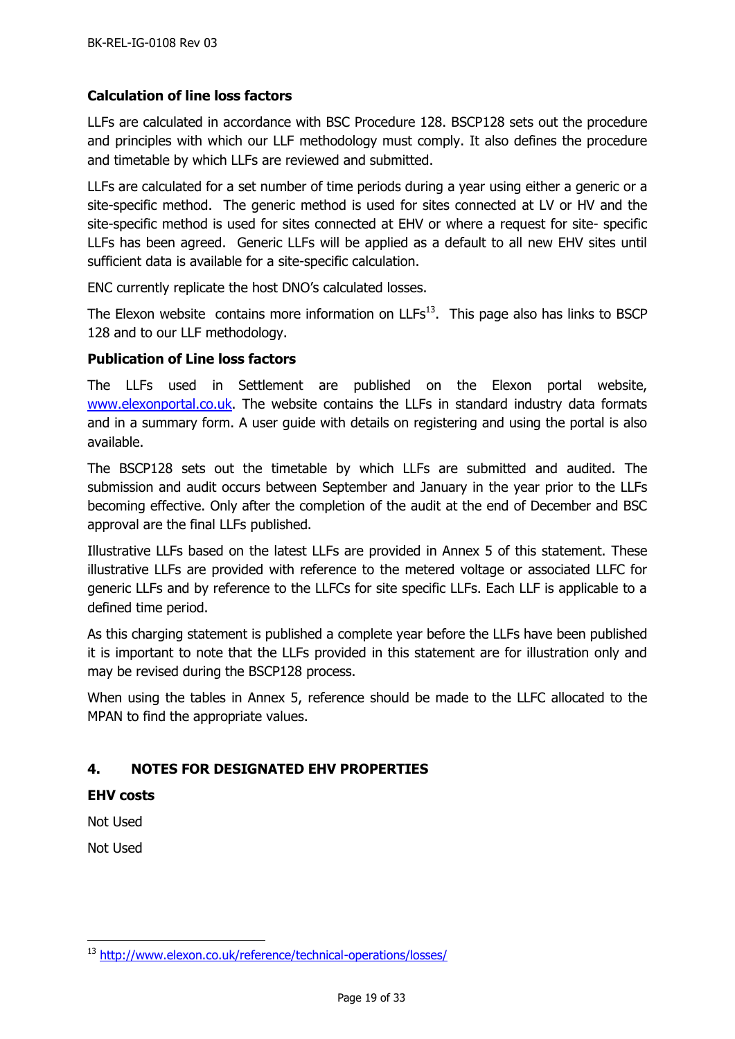# <span id="page-18-0"></span>**Calculation of line loss factors**

LLFs are calculated in accordance with BSC Procedure 128. BSCP128 sets out the procedure and principles with which our LLF methodology must comply. It also defines the procedure and timetable by which LLFs are reviewed and submitted.

LLFs are calculated for a set number of time periods during a year using either a generic or a site-specific method. The generic method is used for sites connected at LV or HV and the site-specific method is used for sites connected at EHV or where a request for site- specific LLFs has been agreed. Generic LLFs will be applied as a default to all new EHV sites until sufficient data is available for a site-specific calculation.

ENC currently replicate the host DNO's calculated losses.

The Elexon website contains more information on  $LLFs<sup>13</sup>$ . This page also has links to BSCP 128 and to our LLF methodology.

## <span id="page-18-1"></span>**Publication of Line loss factors**

The LLFs used in Settlement are published on the Elexon portal website, [www.elexonportal.co.uk.](http://www.elexonportal.co.uk/) The website contains the LLFs in standard industry data formats and in a summary form. A user guide with details on registering and using the portal is also available.

The BSCP128 sets out the timetable by which LLFs are submitted and audited. The submission and audit occurs between September and January in the year prior to the LLFs becoming effective. Only after the completion of the audit at the end of December and BSC approval are the final LLFs published.

Illustrative LLFs based on the latest LLFs are provided in Annex 5 of this statement. These illustrative LLFs are provided with reference to the metered voltage or associated LLFC for generic LLFs and by reference to the LLFCs for site specific LLFs. Each LLF is applicable to a defined time period.

As this charging statement is published a complete year before the LLFs have been published it is important to note that the LLFs provided in this statement are for illustration only and may be revised during the BSCP128 process.

When using the tables in Annex 5, reference should be made to the LLFC allocated to the MPAN to find the appropriate values.

# <span id="page-18-2"></span>**4. NOTES FOR DESIGNATED EHV PROPERTIES**

<span id="page-18-3"></span>**EHV costs**

Not Used

Not Used

-

<sup>13</sup> <http://www.elexon.co.uk/reference/technical-operations/losses/>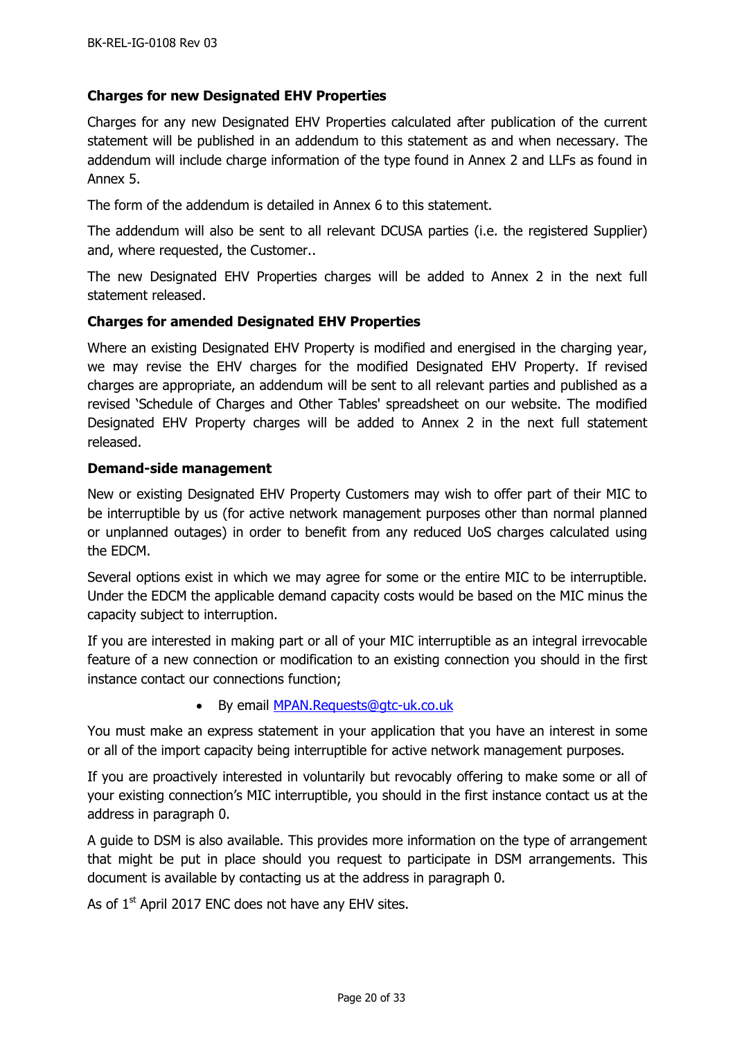## <span id="page-19-0"></span>**Charges for new Designated EHV Properties**

Charges for any new Designated EHV Properties calculated after publication of the current statement will be published in an addendum to this statement as and when necessary. The addendum will include charge information of the type found in Annex 2 and LLFs as found in Annex 5.

The form of the addendum is detailed in Annex 6 to this statement.

The addendum will also be sent to all relevant DCUSA parties (i.e. the registered Supplier) and, where requested, the Customer..

The new Designated EHV Properties charges will be added to Annex 2 in the next full statement released.

#### <span id="page-19-1"></span>**Charges for amended Designated EHV Properties**

Where an existing Designated EHV Property is modified and energised in the charging year, we may revise the EHV charges for the modified Designated EHV Property. If revised charges are appropriate, an addendum will be sent to all relevant parties and published as a revised 'Schedule of Charges and Other Tables' spreadsheet on our website. The modified Designated EHV Property charges will be added to Annex 2 in the next full statement released.

#### <span id="page-19-2"></span>**Demand-side management**

New or existing Designated EHV Property Customers may wish to offer part of their MIC to be interruptible by us (for active network management purposes other than normal planned or unplanned outages) in order to benefit from any reduced UoS charges calculated using the EDCM.

Several options exist in which we may agree for some or the entire MIC to be interruptible. Under the EDCM the applicable demand capacity costs would be based on the MIC minus the capacity subject to interruption.

If you are interested in making part or all of your MIC interruptible as an integral irrevocable feature of a new connection or modification to an existing connection you should in the first instance contact our connections function;

• By email **MPAN.Requests@gtc-uk.co.uk** 

You must make an express statement in your application that you have an interest in some or all of the import capacity being interruptible for active network management purposes.

If you are proactively interested in voluntarily but revocably offering to make some or all of your existing connection's MIC interruptible, you should in the first instance contact us at the address in paragraph [0.](#page-5-1)

A guide to DSM is also available. This provides more information on the type of arrangement that might be put in place should you request to participate in DSM arrangements. This document is available by contacting us at the address in paragraph [0.](#page-5-1)

As of  $1<sup>st</sup>$  April 2017 ENC does not have any EHV sites.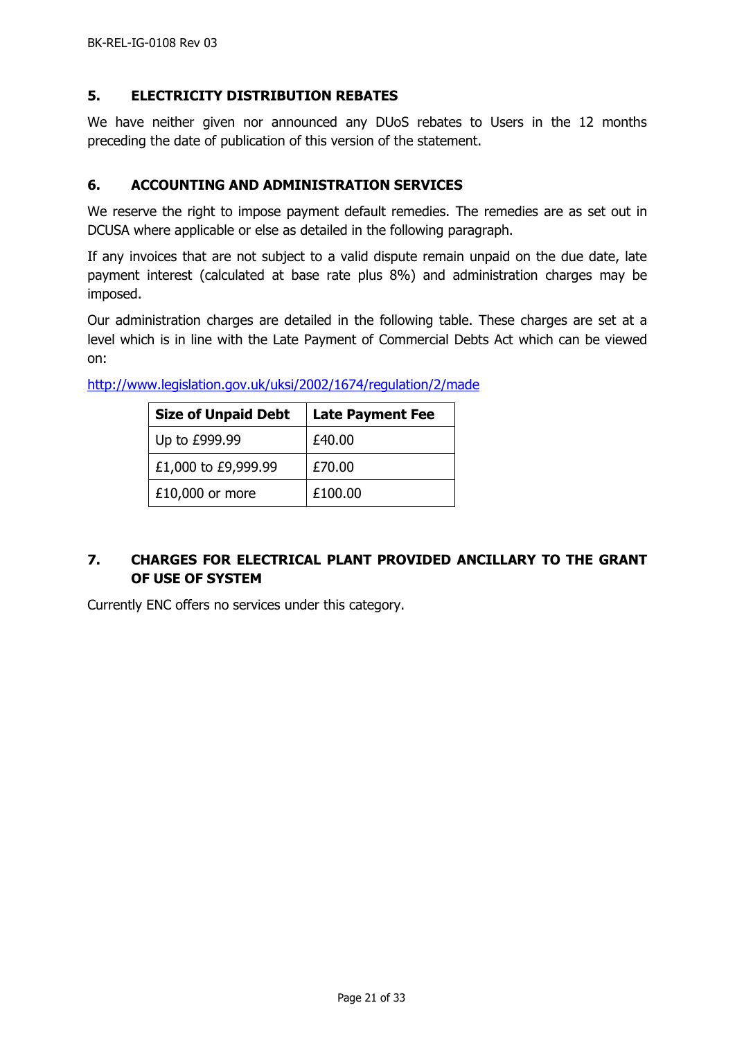## <span id="page-20-0"></span>**5. ELECTRICITY DISTRIBUTION REBATES**

We have neither given nor announced any DUoS rebates to Users in the 12 months preceding the date of publication of this version of the statement.

## <span id="page-20-1"></span>**6. ACCOUNTING AND ADMINISTRATION SERVICES**

We reserve the right to impose payment default remedies. The remedies are as set out in DCUSA where applicable or else as detailed in the following paragraph.

If any invoices that are not subject to a valid dispute remain unpaid on the due date, late payment interest (calculated at base rate plus 8%) and administration charges may be imposed.

Our administration charges are detailed in the following table. These charges are set at a level which is in line with the Late Payment of Commercial Debts Act which can be viewed on:

| <b>Size of Unpaid Debt</b> | <b>Late Payment Fee</b> |
|----------------------------|-------------------------|
| Up to £999.99              | £40.00                  |
| £1,000 to £9,999.99        | £70.00                  |
| $£10,000$ or more          | £100.00                 |

<http://www.legislation.gov.uk/uksi/2002/1674/regulation/2/made>

# <span id="page-20-2"></span>**7. CHARGES FOR ELECTRICAL PLANT PROVIDED ANCILLARY TO THE GRANT OF USE OF SYSTEM**

Currently ENC offers no services under this category.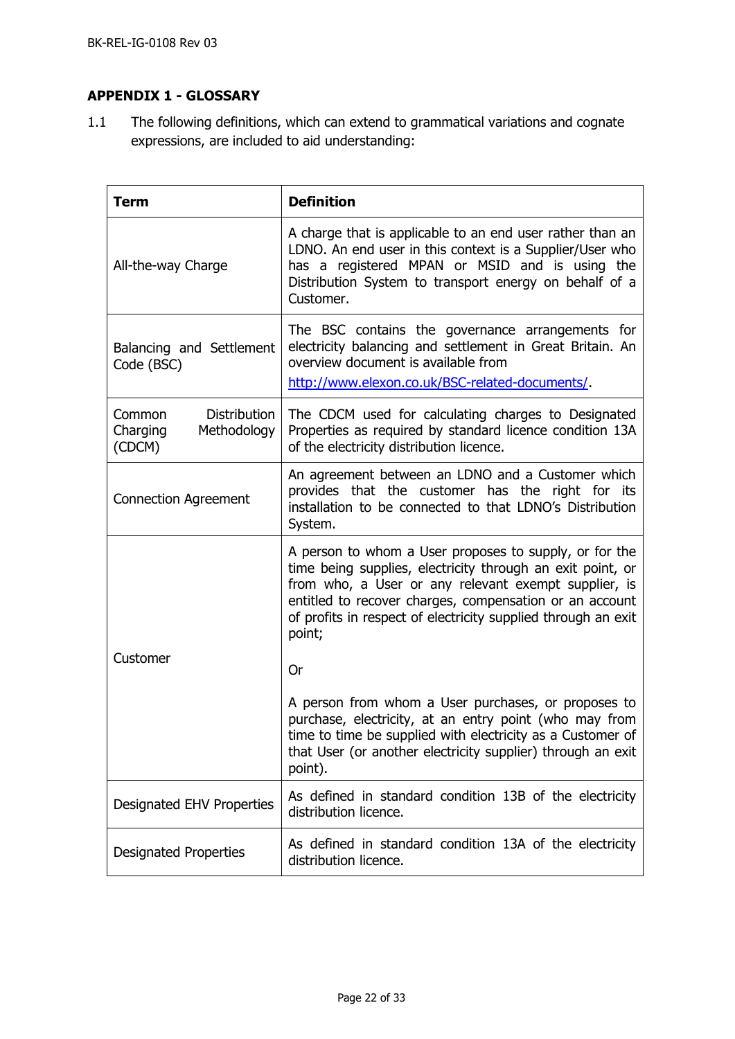# <span id="page-21-0"></span>**APPENDIX 1 - GLOSSARY**

1.1 The following definitions, which can extend to grammatical variations and cognate expressions, are included to aid understanding:

| <b>Term</b>                                                        | <b>Definition</b>                                                                                                                                                                                                                                                                                                  |
|--------------------------------------------------------------------|--------------------------------------------------------------------------------------------------------------------------------------------------------------------------------------------------------------------------------------------------------------------------------------------------------------------|
| All-the-way Charge                                                 | A charge that is applicable to an end user rather than an<br>LDNO. An end user in this context is a Supplier/User who<br>has a registered MPAN or MSID and is using the<br>Distribution System to transport energy on behalf of a<br>Customer.                                                                     |
| Balancing and Settlement<br>Code (BSC)                             | The BSC contains the governance arrangements for<br>electricity balancing and settlement in Great Britain. An<br>overview document is available from<br>http://www.elexon.co.uk/BSC-related-documents/                                                                                                             |
| <b>Distribution</b><br>Common<br>Charging<br>Methodology<br>(CDCM) | The CDCM used for calculating charges to Designated<br>Properties as required by standard licence condition 13A<br>of the electricity distribution licence.                                                                                                                                                        |
| <b>Connection Agreement</b>                                        | An agreement between an LDNO and a Customer which<br>provides that the customer has the right for its<br>installation to be connected to that LDNO's Distribution<br>System.                                                                                                                                       |
|                                                                    | A person to whom a User proposes to supply, or for the<br>time being supplies, electricity through an exit point, or<br>from who, a User or any relevant exempt supplier, is<br>entitled to recover charges, compensation or an account<br>of profits in respect of electricity supplied through an exit<br>point; |
| Customer                                                           | Or                                                                                                                                                                                                                                                                                                                 |
|                                                                    | A person from whom a User purchases, or proposes to<br>purchase, electricity, at an entry point (who may from<br>time to time be supplied with electricity as a Customer of<br>that User (or another electricity supplier) through an exit<br>point).                                                              |
| <b>Designated EHV Properties</b>                                   | As defined in standard condition 13B of the electricity<br>distribution licence.                                                                                                                                                                                                                                   |
| <b>Designated Properties</b>                                       | As defined in standard condition 13A of the electricity<br>distribution licence.                                                                                                                                                                                                                                   |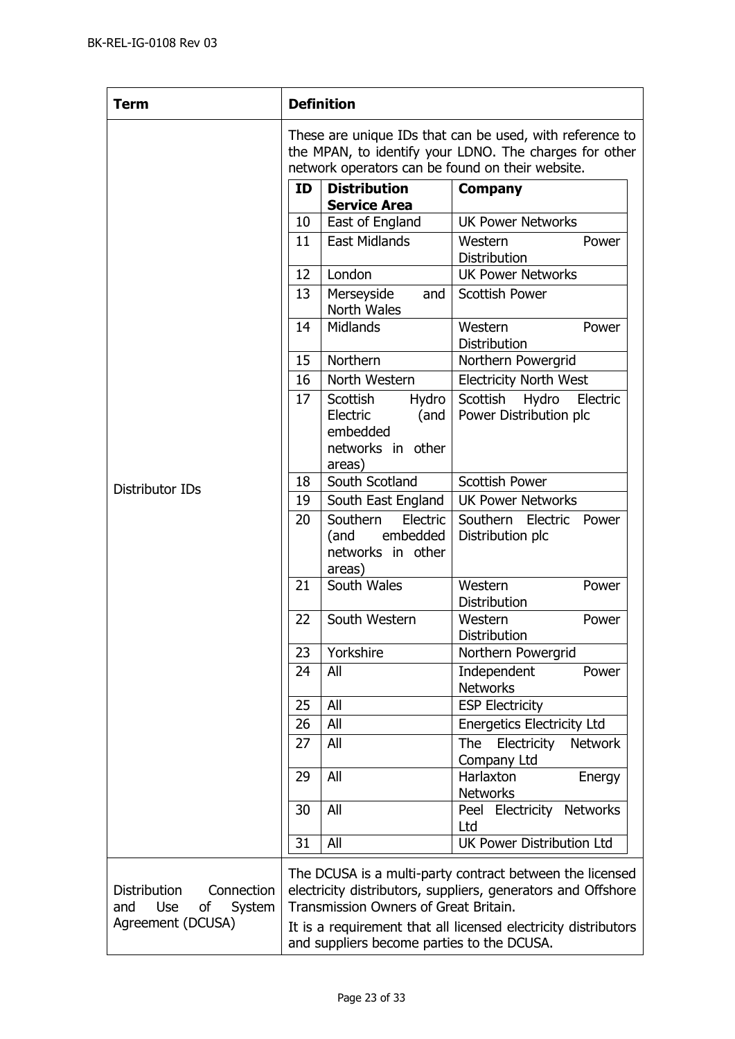| <b>Term</b>                                                                                 |                                                                                                                                                                        | <b>Definition</b>                                                                |                                                                                                                                                                                            |  |
|---------------------------------------------------------------------------------------------|------------------------------------------------------------------------------------------------------------------------------------------------------------------------|----------------------------------------------------------------------------------|--------------------------------------------------------------------------------------------------------------------------------------------------------------------------------------------|--|
|                                                                                             | These are unique IDs that can be used, with reference to<br>the MPAN, to identify your LDNO. The charges for other<br>network operators can be found on their website. |                                                                                  |                                                                                                                                                                                            |  |
|                                                                                             | ID                                                                                                                                                                     | <b>Distribution</b><br><b>Service Area</b>                                       | <b>Company</b>                                                                                                                                                                             |  |
|                                                                                             | 10                                                                                                                                                                     | East of England                                                                  | <b>UK Power Networks</b>                                                                                                                                                                   |  |
|                                                                                             | 11                                                                                                                                                                     | <b>East Midlands</b>                                                             | Western<br>Power<br><b>Distribution</b>                                                                                                                                                    |  |
|                                                                                             | 12                                                                                                                                                                     | London                                                                           | <b>UK Power Networks</b>                                                                                                                                                                   |  |
|                                                                                             | 13                                                                                                                                                                     | Merseyside<br>and<br>North Wales                                                 | <b>Scottish Power</b>                                                                                                                                                                      |  |
|                                                                                             | 14                                                                                                                                                                     | <b>Midlands</b>                                                                  | Western<br>Power<br>Distribution                                                                                                                                                           |  |
|                                                                                             | 15                                                                                                                                                                     | Northern                                                                         | Northern Powergrid                                                                                                                                                                         |  |
|                                                                                             | 16                                                                                                                                                                     | North Western                                                                    | <b>Electricity North West</b>                                                                                                                                                              |  |
|                                                                                             | 17                                                                                                                                                                     | Scottish<br>Hydro<br>Electric<br>(and<br>embedded<br>networks in other<br>areas) | Scottish<br>Hydro<br>Electric<br>Power Distribution plc                                                                                                                                    |  |
| Distributor IDs                                                                             | 18                                                                                                                                                                     | South Scotland                                                                   | <b>Scottish Power</b>                                                                                                                                                                      |  |
|                                                                                             | 19                                                                                                                                                                     | South East England                                                               | <b>UK Power Networks</b>                                                                                                                                                                   |  |
|                                                                                             | 20                                                                                                                                                                     | Southern<br>Electric<br>embedded<br>(and<br>networks in other<br>areas)          | Southern Electric<br>Power<br>Distribution plc                                                                                                                                             |  |
|                                                                                             | 21                                                                                                                                                                     | South Wales                                                                      | Western<br>Power<br>Distribution                                                                                                                                                           |  |
|                                                                                             | 22                                                                                                                                                                     | South Western                                                                    | Western<br>Power<br>Distribution                                                                                                                                                           |  |
|                                                                                             | 23                                                                                                                                                                     | Yorkshire                                                                        | Northern Powergrid                                                                                                                                                                         |  |
|                                                                                             | 24                                                                                                                                                                     | All                                                                              | Independent<br>Power<br><b>Networks</b>                                                                                                                                                    |  |
|                                                                                             | 25                                                                                                                                                                     | All                                                                              | <b>ESP Electricity</b>                                                                                                                                                                     |  |
|                                                                                             | 26                                                                                                                                                                     | All                                                                              | <b>Energetics Electricity Ltd</b>                                                                                                                                                          |  |
|                                                                                             | 27                                                                                                                                                                     | All                                                                              | Electricity<br><b>The</b><br><b>Network</b><br>Company Ltd                                                                                                                                 |  |
|                                                                                             | 29                                                                                                                                                                     | All                                                                              | Harlaxton<br>Energy<br><b>Networks</b>                                                                                                                                                     |  |
|                                                                                             | 30                                                                                                                                                                     | All                                                                              | Peel Electricity Networks<br>Ltd                                                                                                                                                           |  |
|                                                                                             | 31                                                                                                                                                                     | All                                                                              | <b>UK Power Distribution Ltd</b>                                                                                                                                                           |  |
| <b>Distribution</b><br>Connection<br>and<br><b>Use</b><br>System<br>οf<br>Agreement (DCUSA) |                                                                                                                                                                        | Transmission Owners of Great Britain.                                            | The DCUSA is a multi-party contract between the licensed<br>electricity distributors, suppliers, generators and Offshore<br>It is a requirement that all licensed electricity distributors |  |
|                                                                                             | and suppliers become parties to the DCUSA.                                                                                                                             |                                                                                  |                                                                                                                                                                                            |  |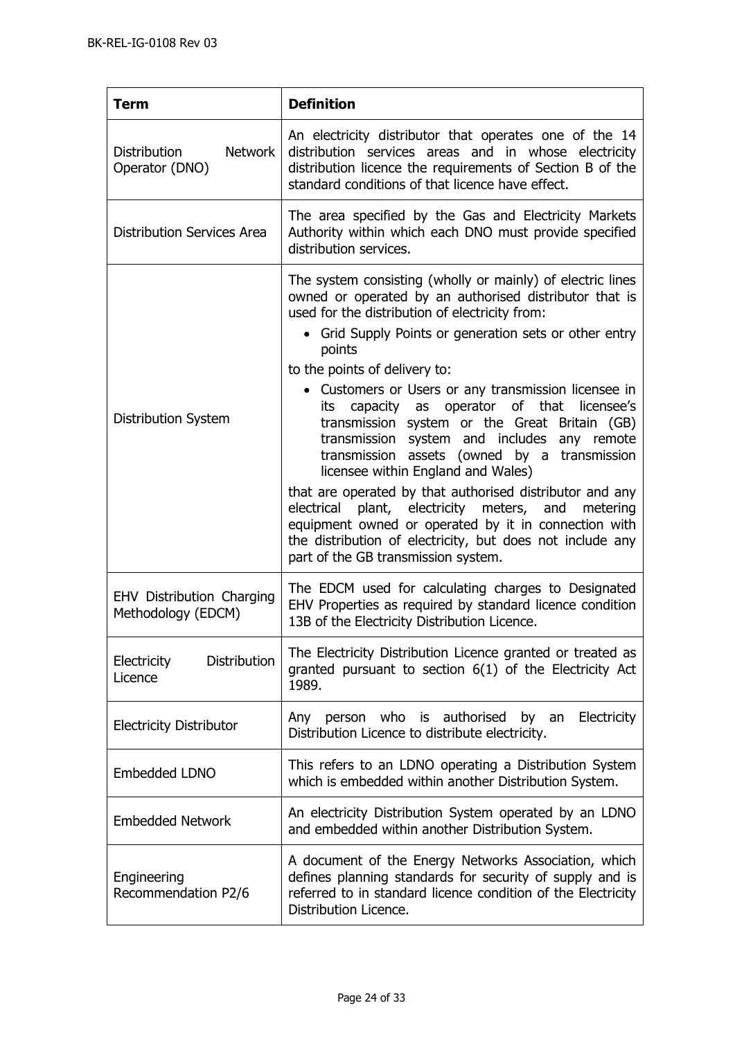| <b>Term</b>                                             | <b>Definition</b>                                                                                                                                                                                                                                                                                                                                                                                                                                                                                                                                                                                                                                                                                                                                                                                                                                               |
|---------------------------------------------------------|-----------------------------------------------------------------------------------------------------------------------------------------------------------------------------------------------------------------------------------------------------------------------------------------------------------------------------------------------------------------------------------------------------------------------------------------------------------------------------------------------------------------------------------------------------------------------------------------------------------------------------------------------------------------------------------------------------------------------------------------------------------------------------------------------------------------------------------------------------------------|
| <b>Network</b><br><b>Distribution</b><br>Operator (DNO) | An electricity distributor that operates one of the 14<br>distribution services areas and in whose electricity<br>distribution licence the requirements of Section B of the<br>standard conditions of that licence have effect.                                                                                                                                                                                                                                                                                                                                                                                                                                                                                                                                                                                                                                 |
| <b>Distribution Services Area</b>                       | The area specified by the Gas and Electricity Markets<br>Authority within which each DNO must provide specified<br>distribution services.                                                                                                                                                                                                                                                                                                                                                                                                                                                                                                                                                                                                                                                                                                                       |
| Distribution System                                     | The system consisting (wholly or mainly) of electric lines<br>owned or operated by an authorised distributor that is<br>used for the distribution of electricity from:<br>• Grid Supply Points or generation sets or other entry<br>points<br>to the points of delivery to:<br>• Customers or Users or any transmission licensee in<br>capacity as operator of that<br>licensee's<br>its<br>transmission system or the Great Britain (GB)<br>transmission system and includes any remote<br>transmission assets (owned by a transmission<br>licensee within England and Wales)<br>that are operated by that authorised distributor and any<br>plant, electricity meters, and metering<br>electrical<br>equipment owned or operated by it in connection with<br>the distribution of electricity, but does not include any<br>part of the GB transmission system. |
| EHV Distribution Charging<br>Methodology (EDCM)         | The EDCM used for calculating charges to Designated<br>EHV Properties as required by standard licence condition<br>13B of the Electricity Distribution Licence.                                                                                                                                                                                                                                                                                                                                                                                                                                                                                                                                                                                                                                                                                                 |
| <b>Distribution</b><br>Electricity<br>Licence           | The Electricity Distribution Licence granted or treated as<br>granted pursuant to section 6(1) of the Electricity Act<br>1989.                                                                                                                                                                                                                                                                                                                                                                                                                                                                                                                                                                                                                                                                                                                                  |
| <b>Electricity Distributor</b>                          | person who is authorised<br>Electricity<br>by an<br>Any<br>Distribution Licence to distribute electricity.                                                                                                                                                                                                                                                                                                                                                                                                                                                                                                                                                                                                                                                                                                                                                      |
| Embedded LDNO                                           | This refers to an LDNO operating a Distribution System<br>which is embedded within another Distribution System.                                                                                                                                                                                                                                                                                                                                                                                                                                                                                                                                                                                                                                                                                                                                                 |
| <b>Embedded Network</b>                                 | An electricity Distribution System operated by an LDNO<br>and embedded within another Distribution System.                                                                                                                                                                                                                                                                                                                                                                                                                                                                                                                                                                                                                                                                                                                                                      |
| Engineering<br>Recommendation P2/6                      | A document of the Energy Networks Association, which<br>defines planning standards for security of supply and is<br>referred to in standard licence condition of the Electricity<br>Distribution Licence.                                                                                                                                                                                                                                                                                                                                                                                                                                                                                                                                                                                                                                                       |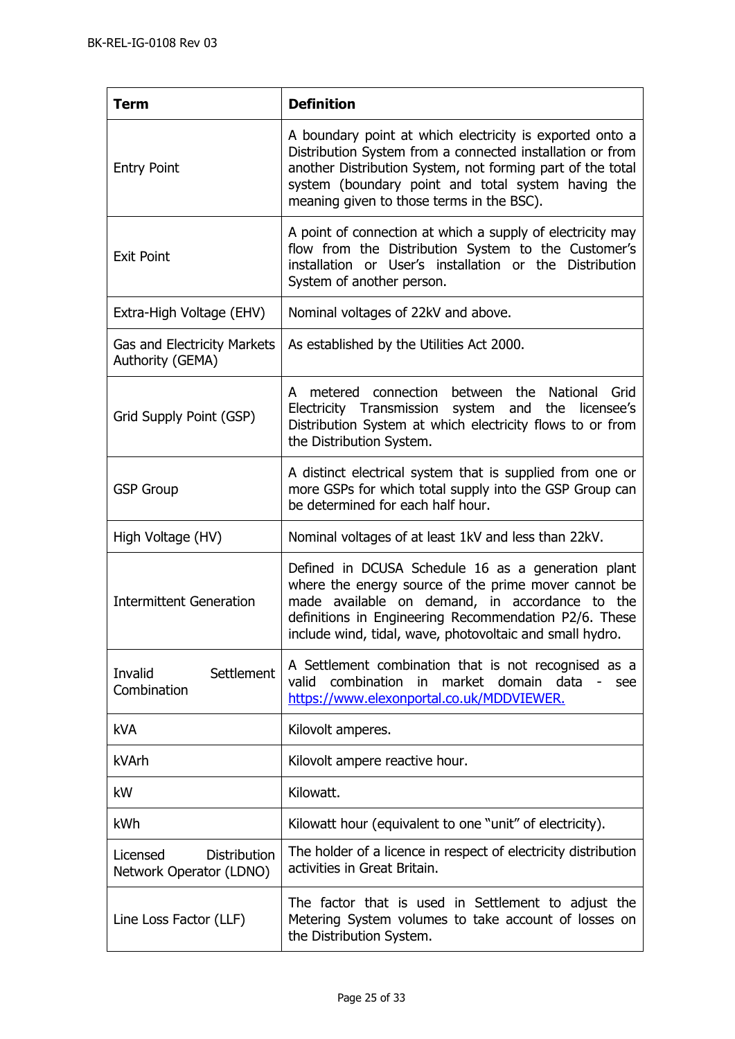| <b>Term</b>                                                | <b>Definition</b>                                                                                                                                                                                                                                                                      |
|------------------------------------------------------------|----------------------------------------------------------------------------------------------------------------------------------------------------------------------------------------------------------------------------------------------------------------------------------------|
| <b>Entry Point</b>                                         | A boundary point at which electricity is exported onto a<br>Distribution System from a connected installation or from<br>another Distribution System, not forming part of the total<br>system (boundary point and total system having the<br>meaning given to those terms in the BSC). |
| <b>Exit Point</b>                                          | A point of connection at which a supply of electricity may<br>flow from the Distribution System to the Customer's<br>installation or User's installation or the Distribution<br>System of another person.                                                                              |
| Extra-High Voltage (EHV)                                   | Nominal voltages of 22kV and above.                                                                                                                                                                                                                                                    |
| <b>Gas and Electricity Markets</b><br>Authority (GEMA)     | As established by the Utilities Act 2000.                                                                                                                                                                                                                                              |
| Grid Supply Point (GSP)                                    | metered connection<br>between the<br>National<br>Grid<br>A<br>Electricity Transmission system and<br>the licensee's<br>Distribution System at which electricity flows to or from<br>the Distribution System.                                                                           |
| <b>GSP Group</b>                                           | A distinct electrical system that is supplied from one or<br>more GSPs for which total supply into the GSP Group can<br>be determined for each half hour.                                                                                                                              |
| High Voltage (HV)                                          | Nominal voltages of at least 1kV and less than 22kV.                                                                                                                                                                                                                                   |
| <b>Intermittent Generation</b>                             | Defined in DCUSA Schedule 16 as a generation plant<br>where the energy source of the prime mover cannot be<br>made available on demand, in accordance to the<br>definitions in Engineering Recommendation P2/6. These<br>include wind, tidal, wave, photovoltaic and small hydro.      |
| Settlement<br>Invalid<br>Combination                       | A Settlement combination that is not recognised as a<br>market domain data<br>combination<br>valid<br>in<br>see<br>https://www.elexonportal.co.uk/MDDVIEWER.                                                                                                                           |
| <b>kVA</b>                                                 | Kilovolt amperes.                                                                                                                                                                                                                                                                      |
| kVArh                                                      | Kilovolt ampere reactive hour.                                                                                                                                                                                                                                                         |
| kW                                                         | Kilowatt.                                                                                                                                                                                                                                                                              |
| kWh                                                        | Kilowatt hour (equivalent to one "unit" of electricity).                                                                                                                                                                                                                               |
| <b>Distribution</b><br>Licensed<br>Network Operator (LDNO) | The holder of a licence in respect of electricity distribution<br>activities in Great Britain.                                                                                                                                                                                         |
| Line Loss Factor (LLF)                                     | The factor that is used in Settlement to adjust the<br>Metering System volumes to take account of losses on<br>the Distribution System.                                                                                                                                                |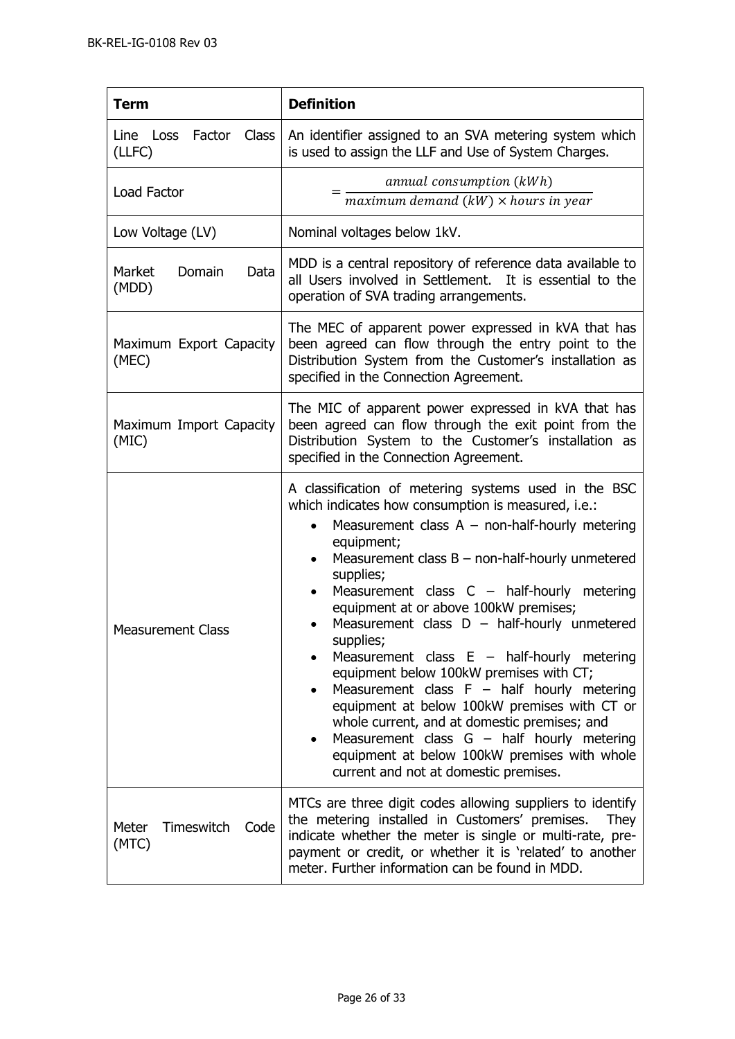| <b>Term</b>                          | <b>Definition</b>                                                                                                                                                                                                                                                                                                                                                                                                                                                                                                                                                                                                                                                                                                                                                                                                                        |  |
|--------------------------------------|------------------------------------------------------------------------------------------------------------------------------------------------------------------------------------------------------------------------------------------------------------------------------------------------------------------------------------------------------------------------------------------------------------------------------------------------------------------------------------------------------------------------------------------------------------------------------------------------------------------------------------------------------------------------------------------------------------------------------------------------------------------------------------------------------------------------------------------|--|
| Line Loss Factor Class<br>(LLFC)     | An identifier assigned to an SVA metering system which<br>is used to assign the LLF and Use of System Charges.                                                                                                                                                                                                                                                                                                                                                                                                                                                                                                                                                                                                                                                                                                                           |  |
| Load Factor                          | annual consumption (kWh)<br>$maximum\ demand\ (kW) \times hours\ in\ year$                                                                                                                                                                                                                                                                                                                                                                                                                                                                                                                                                                                                                                                                                                                                                               |  |
| Low Voltage (LV)                     | Nominal voltages below 1kV.                                                                                                                                                                                                                                                                                                                                                                                                                                                                                                                                                                                                                                                                                                                                                                                                              |  |
| Domain<br>Market<br>Data<br>(MDD)    | MDD is a central repository of reference data available to<br>all Users involved in Settlement. It is essential to the<br>operation of SVA trading arrangements.                                                                                                                                                                                                                                                                                                                                                                                                                                                                                                                                                                                                                                                                         |  |
| Maximum Export Capacity<br>(MEC)     | The MEC of apparent power expressed in kVA that has<br>been agreed can flow through the entry point to the<br>Distribution System from the Customer's installation as<br>specified in the Connection Agreement.                                                                                                                                                                                                                                                                                                                                                                                                                                                                                                                                                                                                                          |  |
| Maximum Import Capacity<br>(MIC)     | The MIC of apparent power expressed in kVA that has<br>been agreed can flow through the exit point from the<br>Distribution System to the Customer's installation as<br>specified in the Connection Agreement.                                                                                                                                                                                                                                                                                                                                                                                                                                                                                                                                                                                                                           |  |
| <b>Measurement Class</b>             | A classification of metering systems used in the BSC<br>which indicates how consumption is measured, i.e.:<br>Measurement class $A - non-half-hourly$ metering<br>equipment;<br>Measurement class $B$ – non-half-hourly unmetered<br>$\bullet$<br>supplies;<br>Measurement class $C -$ half-hourly metering<br>equipment at or above 100kW premises;<br>Measurement class $D - \text{half-hourly}$ unmetered<br>$\bullet$<br>supplies;<br>Measurement class $E -$ half-hourly metering<br>equipment below 100kW premises with CT;<br>Measurement class $F - \text{half}$ hourly metering<br>equipment at below 100kW premises with CT or<br>whole current, and at domestic premises; and<br>Measurement class $G - \text{half}$ hourly metering<br>equipment at below 100kW premises with whole<br>current and not at domestic premises. |  |
| Timeswitch<br>Meter<br>Code<br>(MTC) | MTCs are three digit codes allowing suppliers to identify<br>the metering installed in Customers' premises.<br><b>They</b><br>indicate whether the meter is single or multi-rate, pre-<br>payment or credit, or whether it is 'related' to another<br>meter. Further information can be found in MDD.                                                                                                                                                                                                                                                                                                                                                                                                                                                                                                                                    |  |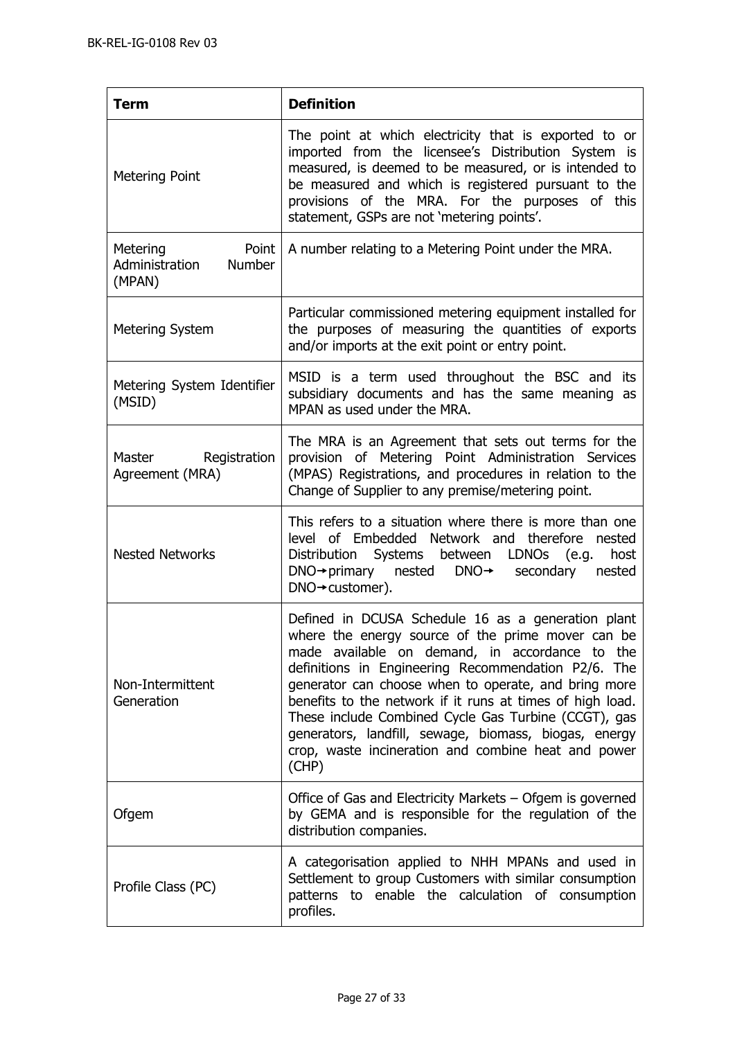| <b>Term</b>                                                    | <b>Definition</b>                                                                                                                                                                                                                                                                                                                                                                                                                                                                                                      |
|----------------------------------------------------------------|------------------------------------------------------------------------------------------------------------------------------------------------------------------------------------------------------------------------------------------------------------------------------------------------------------------------------------------------------------------------------------------------------------------------------------------------------------------------------------------------------------------------|
| <b>Metering Point</b>                                          | The point at which electricity that is exported to or<br>imported from the licensee's Distribution System is<br>measured, is deemed to be measured, or is intended to<br>be measured and which is registered pursuant to the<br>provisions of the MRA. For the purposes of this<br>statement, GSPs are not 'metering points'.                                                                                                                                                                                          |
| Metering<br>Point<br>Administration<br><b>Number</b><br>(MPAN) | A number relating to a Metering Point under the MRA.                                                                                                                                                                                                                                                                                                                                                                                                                                                                   |
| <b>Metering System</b>                                         | Particular commissioned metering equipment installed for<br>the purposes of measuring the quantities of exports<br>and/or imports at the exit point or entry point.                                                                                                                                                                                                                                                                                                                                                    |
| Metering System Identifier<br>(MSID)                           | MSID is a term used throughout the BSC and its<br>subsidiary documents and has the same meaning as<br>MPAN as used under the MRA.                                                                                                                                                                                                                                                                                                                                                                                      |
| Master Registration<br>Agreement (MRA)                         | The MRA is an Agreement that sets out terms for the<br>provision of Metering Point Administration Services<br>(MPAS) Registrations, and procedures in relation to the<br>Change of Supplier to any premise/metering point.                                                                                                                                                                                                                                                                                             |
| <b>Nested Networks</b>                                         | This refers to a situation where there is more than one<br>level of Embedded Network and therefore nested<br>Distribution Systems between LDNOs (e.g.<br>host<br>$DNA \rightarrow primary$ nested $DNA \rightarrow secondary$ secondary<br>nested<br>$DNA \rightarrow customer$ ).                                                                                                                                                                                                                                     |
| Non-Intermittent<br>Generation                                 | Defined in DCUSA Schedule 16 as a generation plant<br>where the energy source of the prime mover can be<br>made available on demand, in accordance to the<br>definitions in Engineering Recommendation P2/6. The<br>generator can choose when to operate, and bring more<br>benefits to the network if it runs at times of high load.<br>These include Combined Cycle Gas Turbine (CCGT), gas<br>generators, landfill, sewage, biomass, biogas, energy<br>crop, waste incineration and combine heat and power<br>(CHP) |
| Ofgem                                                          | Office of Gas and Electricity Markets - Ofgem is governed<br>by GEMA and is responsible for the regulation of the<br>distribution companies.                                                                                                                                                                                                                                                                                                                                                                           |
| Profile Class (PC)                                             | A categorisation applied to NHH MPANs and used in<br>Settlement to group Customers with similar consumption<br>patterns to enable the calculation of consumption<br>profiles.                                                                                                                                                                                                                                                                                                                                          |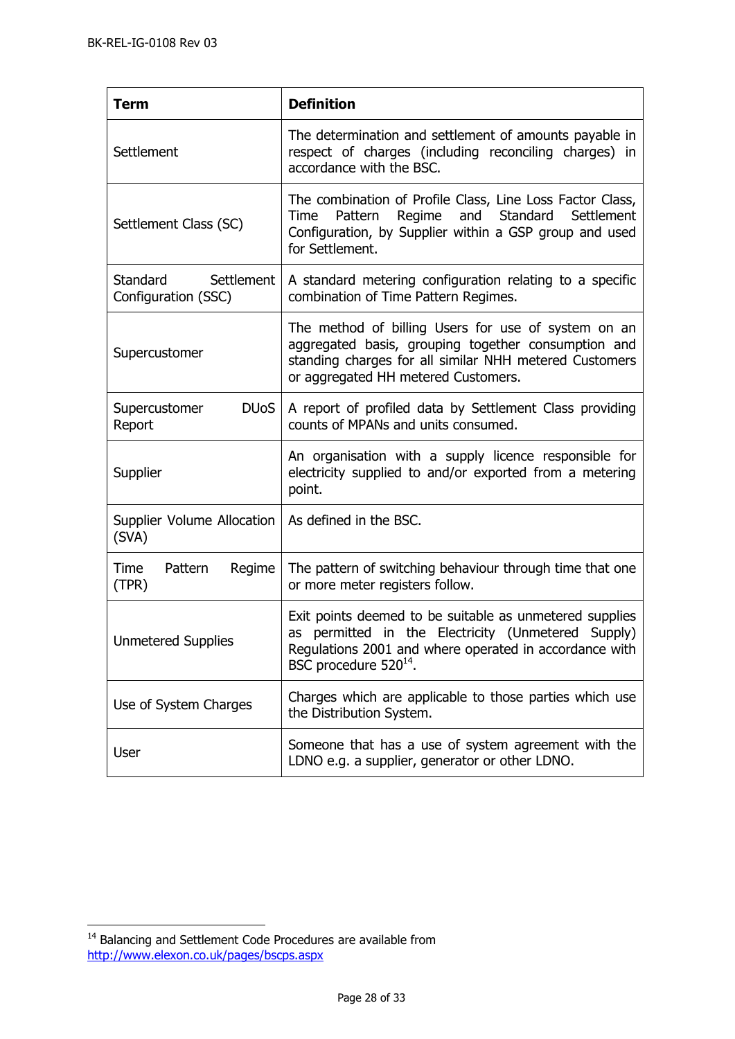| <b>Term</b>                                       | <b>Definition</b>                                                                                                                                                                                               |
|---------------------------------------------------|-----------------------------------------------------------------------------------------------------------------------------------------------------------------------------------------------------------------|
| Settlement                                        | The determination and settlement of amounts payable in<br>respect of charges (including reconciling charges) in<br>accordance with the BSC.                                                                     |
| Settlement Class (SC)                             | The combination of Profile Class, Line Loss Factor Class,<br>Pattern Regime and Standard<br>Settlement<br>Time<br>Configuration, by Supplier within a GSP group and used<br>for Settlement.                     |
| Standard<br>Settlement<br>Configuration (SSC)     | A standard metering configuration relating to a specific<br>combination of Time Pattern Regimes.                                                                                                                |
| Supercustomer                                     | The method of billing Users for use of system on an<br>aggregated basis, grouping together consumption and<br>standing charges for all similar NHH metered Customers<br>or aggregated HH metered Customers.     |
| <b>DU<sub>o</sub>S</b><br>Supercustomer<br>Report | A report of profiled data by Settlement Class providing<br>counts of MPANs and units consumed.                                                                                                                  |
| Supplier                                          | An organisation with a supply licence responsible for<br>electricity supplied to and/or exported from a metering<br>point.                                                                                      |
| Supplier Volume Allocation<br>(SVA)               | As defined in the BSC.                                                                                                                                                                                          |
| Regime<br>Time<br>Pattern<br>(TPR)                | The pattern of switching behaviour through time that one<br>or more meter registers follow.                                                                                                                     |
| <b>Unmetered Supplies</b>                         | Exit points deemed to be suitable as unmetered supplies<br>as permitted in the Electricity (Unmetered<br>Supply)<br>Regulations 2001 and where operated in accordance with<br>BSC procedure 520 <sup>14</sup> . |
| Use of System Charges                             | Charges which are applicable to those parties which use<br>the Distribution System.                                                                                                                             |
| <b>User</b>                                       | Someone that has a use of system agreement with the<br>LDNO e.g. a supplier, generator or other LDNO.                                                                                                           |

 $\overline{a}$ 

 $14$  Balancing and Settlement Code Procedures are available from <http://www.elexon.co.uk/pages/bscps.aspx>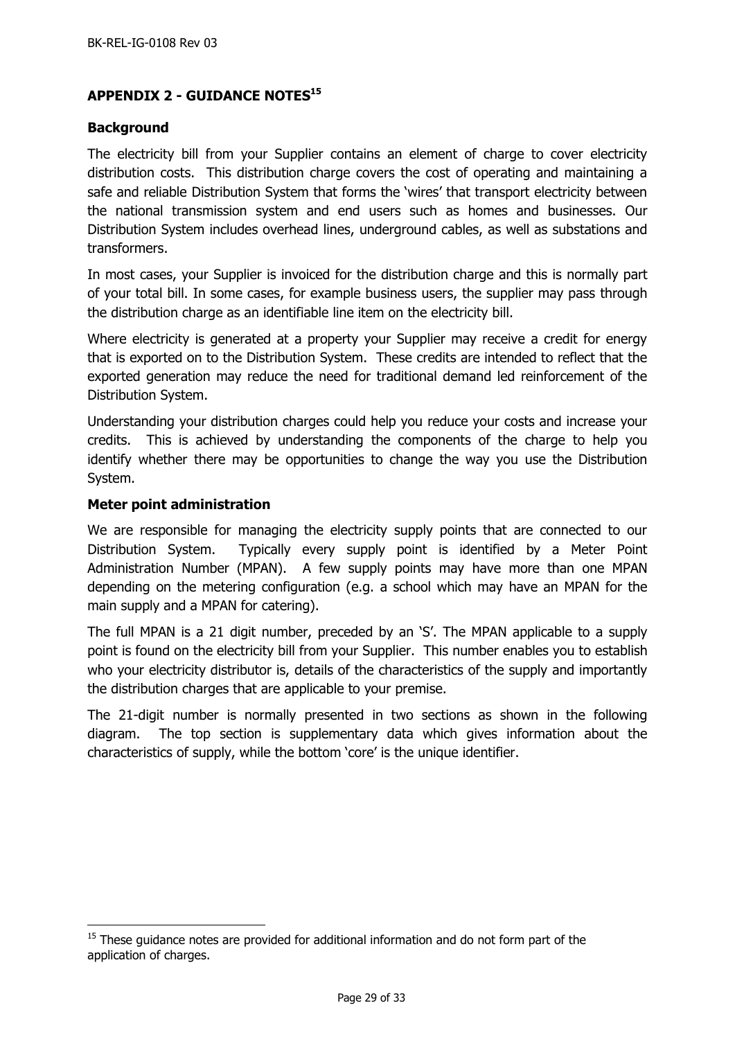# <span id="page-28-0"></span>**APPENDIX 2 - GUIDANCE NOTES<sup>15</sup>**

#### <span id="page-28-1"></span>**Background**

The electricity bill from your Supplier contains an element of charge to cover electricity distribution costs. This distribution charge covers the cost of operating and maintaining a safe and reliable Distribution System that forms the 'wires' that transport electricity between the national transmission system and end users such as homes and businesses. Our Distribution System includes overhead lines, underground cables, as well as substations and transformers.

In most cases, your Supplier is invoiced for the distribution charge and this is normally part of your total bill. In some cases, for example business users, the supplier may pass through the distribution charge as an identifiable line item on the electricity bill.

Where electricity is generated at a property your Supplier may receive a credit for energy that is exported on to the Distribution System. These credits are intended to reflect that the exported generation may reduce the need for traditional demand led reinforcement of the Distribution System.

Understanding your distribution charges could help you reduce your costs and increase your credits. This is achieved by understanding the components of the charge to help you identify whether there may be opportunities to change the way you use the Distribution System.

#### <span id="page-28-2"></span>**Meter point administration**

 $\overline{a}$ 

We are responsible for managing the electricity supply points that are connected to our Distribution System. Typically every supply point is identified by a Meter Point Administration Number (MPAN). A few supply points may have more than one MPAN depending on the metering configuration (e.g. a school which may have an MPAN for the main supply and a MPAN for catering).

The full MPAN is a 21 digit number, preceded by an 'S'. The MPAN applicable to a supply point is found on the electricity bill from your Supplier. This number enables you to establish who your electricity distributor is, details of the characteristics of the supply and importantly the distribution charges that are applicable to your premise.

The 21-digit number is normally presented in two sections as shown in the following diagram. The top section is supplementary data which gives information about the characteristics of supply, while the bottom 'core' is the unique identifier.

 $15$  These guidance notes are provided for additional information and do not form part of the application of charges.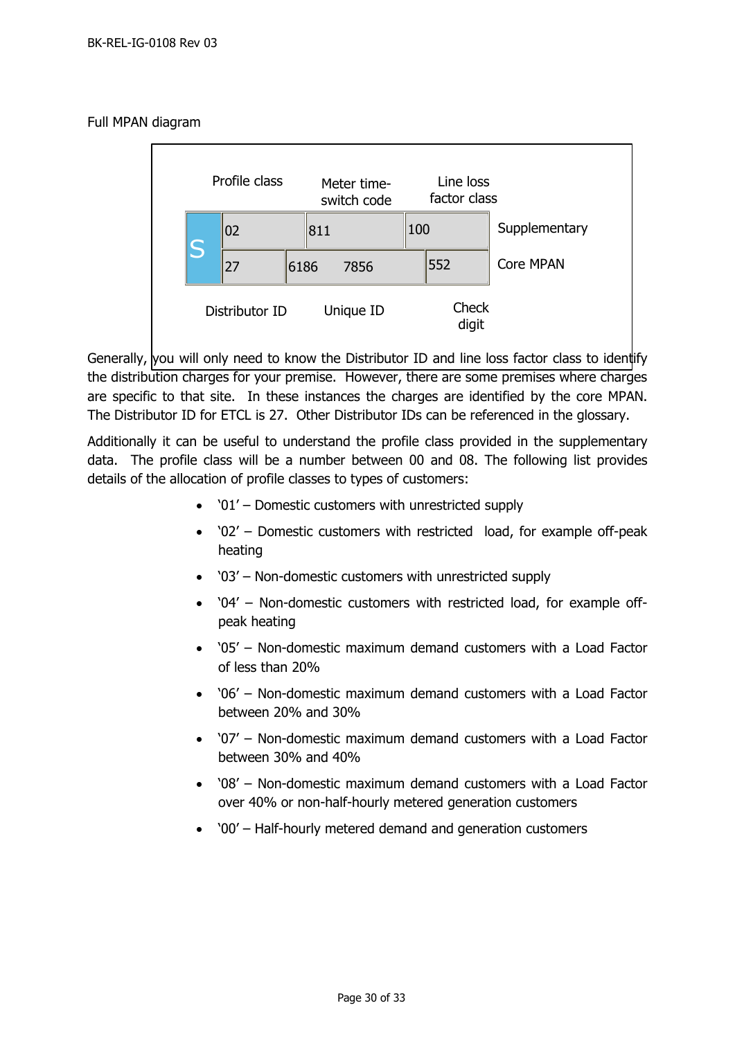#### Full MPAN diagram



Generally, you will only need to know the Distributor ID and line loss factor class to identify the distribution charges for your premise. However, there are some premises where charges are specific to that site. In these instances the charges are identified by the core MPAN. The Distributor ID for ETCL is 27. Other Distributor IDs can be referenced in the glossary.

Additionally it can be useful to understand the profile class provided in the supplementary data. The profile class will be a number between 00 and 08. The following list provides details of the allocation of profile classes to types of customers:

- '01' Domestic customers with unrestricted supply
- '02' Domestic customers with restricted load, for example off-peak heating
- '03' Non-domestic customers with unrestricted supply
- '04' Non-domestic customers with restricted load, for example offpeak heating
- '05' Non-domestic maximum demand customers with a Load Factor of less than 20%
- '06' Non-domestic maximum demand customers with a Load Factor between 20% and 30%
- '07' Non-domestic maximum demand customers with a Load Factor between 30% and 40%
- '08' Non-domestic maximum demand customers with a Load Factor over 40% or non-half-hourly metered generation customers
- '00' Half-hourly metered demand and generation customers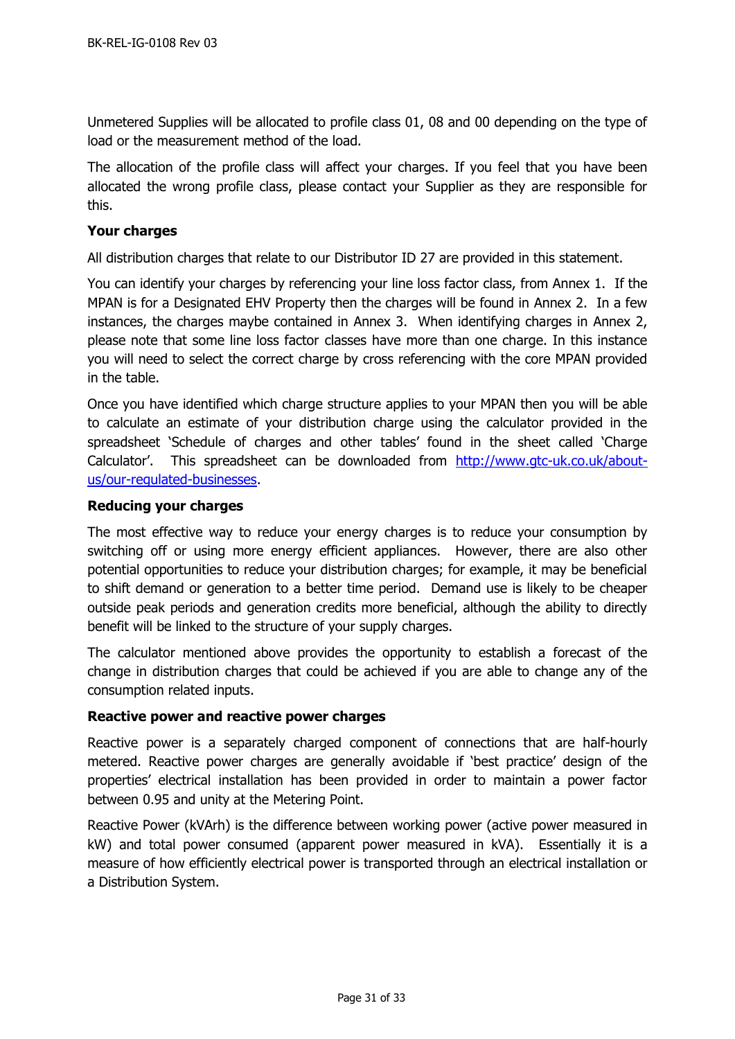Unmetered Supplies will be allocated to profile class 01, 08 and 00 depending on the type of load or the measurement method of the load.

The allocation of the profile class will affect your charges. If you feel that you have been allocated the wrong profile class, please contact your Supplier as they are responsible for this.

#### <span id="page-30-0"></span>**Your charges**

All distribution charges that relate to our Distributor ID 27 are provided in this statement.

You can identify your charges by referencing your line loss factor class, from Annex 1. If the MPAN is for a Designated EHV Property then the charges will be found in Annex 2. In a few instances, the charges maybe contained in Annex 3. When identifying charges in Annex 2, please note that some line loss factor classes have more than one charge. In this instance you will need to select the correct charge by cross referencing with the core MPAN provided in the table.

Once you have identified which charge structure applies to your MPAN then you will be able to calculate an estimate of your distribution charge using the calculator provided in the spreadsheet 'Schedule of charges and other tables' found in the sheet called 'Charge Calculator'. This spreadsheet can be downloaded from [http://www.gtc-uk.co.uk/about](http://www.gtc-uk.co.uk/about-us/our-regulated-businesses)[us/our-regulated-businesses.](http://www.gtc-uk.co.uk/about-us/our-regulated-businesses)

## <span id="page-30-1"></span>**Reducing your charges**

The most effective way to reduce your energy charges is to reduce your consumption by switching off or using more energy efficient appliances. However, there are also other potential opportunities to reduce your distribution charges; for example, it may be beneficial to shift demand or generation to a better time period. Demand use is likely to be cheaper outside peak periods and generation credits more beneficial, although the ability to directly benefit will be linked to the structure of your supply charges.

The calculator mentioned above provides the opportunity to establish a forecast of the change in distribution charges that could be achieved if you are able to change any of the consumption related inputs.

#### <span id="page-30-2"></span>**Reactive power and reactive power charges**

Reactive power is a separately charged component of connections that are half-hourly metered. Reactive power charges are generally avoidable if 'best practice' design of the properties' electrical installation has been provided in order to maintain a power factor between 0.95 and unity at the Metering Point.

Reactive Power (kVArh) is the difference between working power (active power measured in kW) and total power consumed (apparent power measured in kVA). Essentially it is a measure of how efficiently electrical power is transported through an electrical installation or a Distribution System.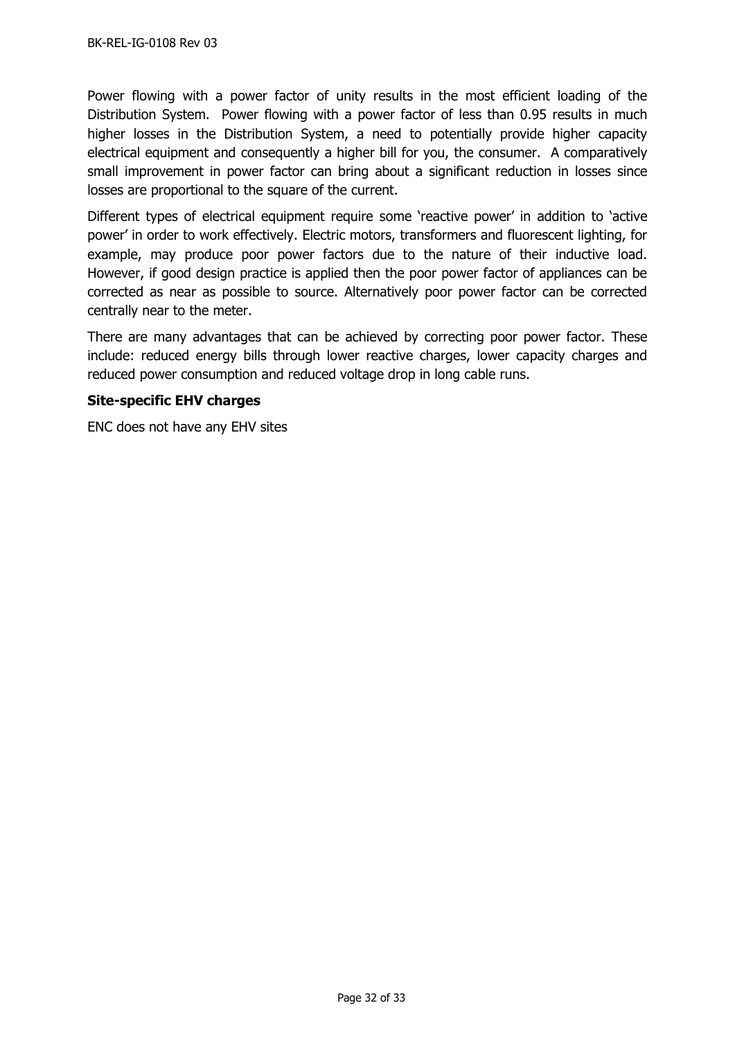Power flowing with a power factor of unity results in the most efficient loading of the Distribution System. Power flowing with a power factor of less than 0.95 results in much higher losses in the Distribution System, a need to potentially provide higher capacity electrical equipment and consequently a higher bill for you, the consumer. A comparatively small improvement in power factor can bring about a significant reduction in losses since losses are proportional to the square of the current.

Different types of electrical equipment require some 'reactive power' in addition to 'active power' in order to work effectively. Electric motors, transformers and fluorescent lighting, for example, may produce poor power factors due to the nature of their inductive load. However, if good design practice is applied then the poor power factor of appliances can be corrected as near as possible to source. Alternatively poor power factor can be corrected centrally near to the meter.

There are many advantages that can be achieved by correcting poor power factor. These include: reduced energy bills through lower reactive charges, lower capacity charges and reduced power consumption and reduced voltage drop in long cable runs.

## <span id="page-31-0"></span>**Site-specific EHV charges**

ENC does not have any EHV sites